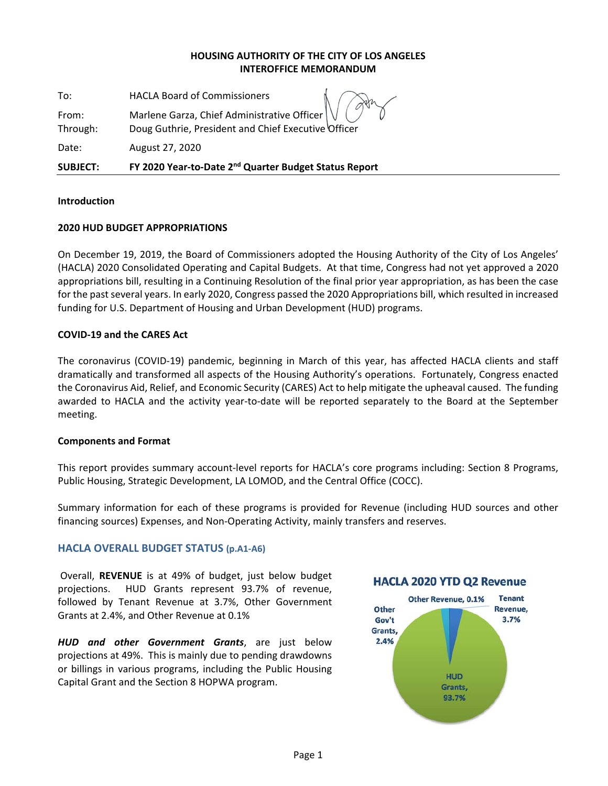### **HOUSING AUTHORITY OF THE CITY OF LOS ANGELES INTEROFFICE MEMORANDUM**

To: HACLA Board of Commissioners

From: Marlene Garza, Chief Administrative Officer

Through: Doug Guthrie, President and Chief Executive Officer

Date: August 27, 2020

**SUBJECT: FY 2020 Year‐to‐Date 2nd Quarter Budget Status Report** 

### **Introduction**

### **2020 HUD BUDGET APPROPRIATIONS**

On December 19, 2019, the Board of Commissioners adopted the Housing Authority of the City of Los Angeles' (HACLA) 2020 Consolidated Operating and Capital Budgets. At that time, Congress had not yet approved a 2020 appropriations bill, resulting in a Continuing Resolution of the final prior year appropriation, as has been the case for the past several years. In early 2020, Congress passed the 2020 Appropriations bill, which resulted in increased funding for U.S. Department of Housing and Urban Development (HUD) programs.

### **COVID‐19 and the CARES Act**

The coronavirus (COVID‐19) pandemic, beginning in March of this year, has affected HACLA clients and staff dramatically and transformed all aspects of the Housing Authority's operations. Fortunately, Congress enacted the Coronavirus Aid, Relief, and Economic Security (CARES) Act to help mitigate the upheaval caused. The funding awarded to HACLA and the activity year-to-date will be reported separately to the Board at the September meeting.

### **Components and Format**

This report provides summary account‐level reports for HACLA's core programs including: Section 8 Programs, Public Housing, Strategic Development, LA LOMOD, and the Central Office (COCC).

Summary information for each of these programs is provided for Revenue (including HUD sources and other financing sources) Expenses, and Non‐Operating Activity, mainly transfers and reserves.

### **HACLA OVERALL BUDGET STATUS (p.A1‐A6)**

 Overall, **REVENUE** is at 49% of budget, just below budget projections. HUD Grants represent 93.7% of revenue, followed by Tenant Revenue at 3.7%, Other Government Grants at 2.4%, and Other Revenue at 0.1%

*HUD and other Government Grants*, are just below projections at 49%. This is mainly due to pending drawdowns or billings in various programs, including the Public Housing Capital Grant and the Section 8 HOPWA program.

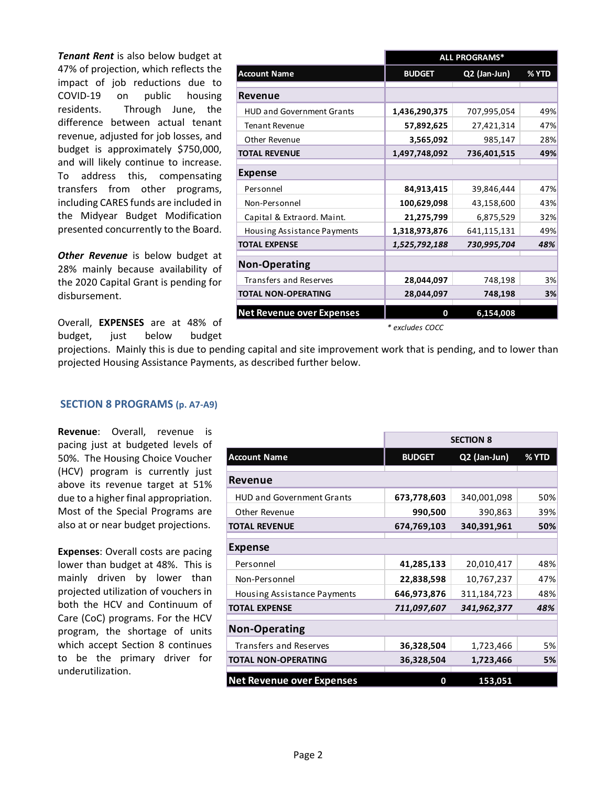*Tenant Rent* is also below budget at 47% of projection, which reflects the impact of job reductions due to COVID‐19 on public housing residents. Through June, the difference between actual tenant revenue, adjusted for job losses, and budget is approximately \$750,000, and will likely continue to increase. To address this, compensating transfers from other programs, including CARES funds are included in the Midyear Budget Modification presented concurrently to the Board.

**Other Revenue** is below budget at 28% mainly because availability of the 2020 Capital Grant is pending for disbursement.

Overall, **EXPENSES** are at 48% of budget, just below budget

|                                    | <b>ALL PROGRAMS*</b> |              |       |  |
|------------------------------------|----------------------|--------------|-------|--|
| <b>Account Name</b>                | <b>BUDGET</b>        | Q2 (Jan-Jun) | % YTD |  |
| <b>Revenue</b>                     |                      |              |       |  |
| <b>HUD and Government Grants</b>   | 1,436,290,375        | 707,995,054  | 49%   |  |
| <b>Tenant Revenue</b>              | 57,892,625           | 27,421,314   | 47%   |  |
| Other Revenue                      | 3,565,092            | 985,147      | 28%   |  |
| <b>TOTAL REVENUE</b>               | 1,497,748,092        | 736,401,515  | 49%   |  |
| <b>Expense</b>                     |                      |              |       |  |
| Personnel                          | 84,913,415           | 39,846,444   | 47%   |  |
| Non-Personnel                      | 100,629,098          | 43,158,600   | 43%   |  |
| Capital & Extraord. Maint.         | 21,275,799           | 6,875,529    | 32%   |  |
| <b>Housing Assistance Payments</b> | 1,318,973,876        | 641,115,131  | 49%   |  |
| <b>TOTAL EXPENSE</b>               | 1,525,792,188        | 730,995,704  | 48%   |  |
| <b>Non-Operating</b>               |                      |              |       |  |
| <b>Transfers and Reserves</b>      | 28,044,097           | 748,198      | 3%    |  |
| <b>TOTAL NON-OPERATING</b>         | 28,044,097           | 748,198      | 3%    |  |
| <b>Net Revenue over Expenses</b>   | 0                    | 6,154,008    |       |  |

*\* excludes COCC*

projections. Mainly this is due to pending capital and site improvement work that is pending, and to lower than projected Housing Assistance Payments, as described further below.

### **SECTION 8 PROGRAMS (p. A7‐A9)**

**Revenue**: Overall, revenue is pacing just at budgeted levels of 50%. The Housing Choice Voucher (HCV) program is currently just above its revenue target at 51% due to a higher final appropriation. Most of the Special Programs are also at or near budget projections.

**Expenses**: Overall costs are pacing lower than budget at 48%. This is mainly driven by lower than projected utilization of vouchers in both the HCV and Continuum of Care (CoC) programs. For the HCV program, the shortage of units which accept Section 8 continues to be the primary driver for underutilization.

|                                  | <b>SECTION 8</b> |              |       |  |
|----------------------------------|------------------|--------------|-------|--|
| <b>Account Name</b>              | <b>BUDGET</b>    | Q2 (Jan-Jun) | % YTD |  |
| Revenue                          |                  |              |       |  |
| <b>HUD and Government Grants</b> | 673,778,603      | 340,001,098  | 50%   |  |
| Other Revenue                    | 990,500          | 390,863      | 39%   |  |
| <b>TOTAL REVENUE</b>             | 674,769,103      | 340,391,961  | 50%   |  |
| Expense                          |                  |              |       |  |
| Personnel                        | 41,285,133       | 20,010,417   | 48%   |  |
| Non-Personnel                    | 22,838,598       | 10,767,237   | 47%   |  |
| Housing Assistance Payments      | 646,973,876      | 311,184,723  | 48%   |  |
| <b>TOTAL EXPENSE</b>             | 711,097,607      | 341,962,377  | 48%   |  |
| <b>Non-Operating</b>             |                  |              |       |  |
| <b>Transfers and Reserves</b>    | 36,328,504       | 1,723,466    | 5%    |  |
| <b>TOTAL NON-OPERATING</b>       | 36,328,504       | 1,723,466    | 5%    |  |
| <b>Net Revenue over Expenses</b> | 0                | 153,051      |       |  |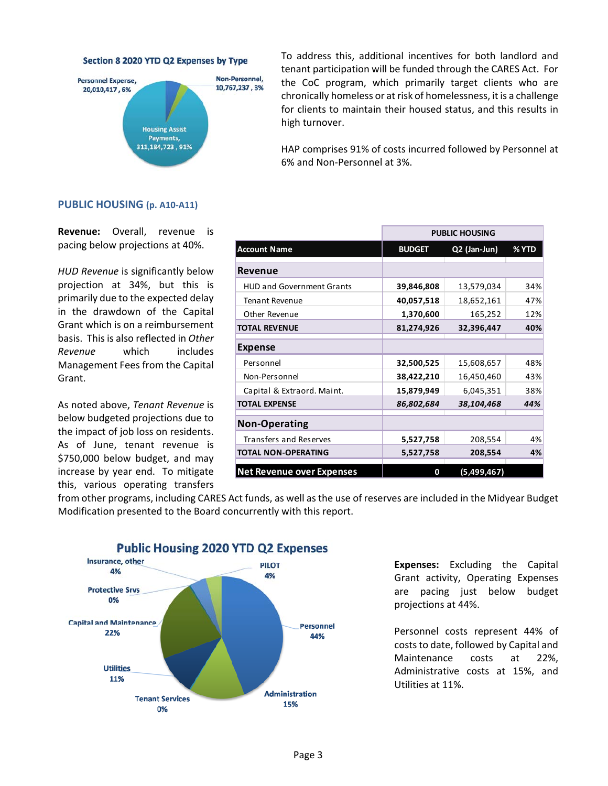Section 8 2020 YTD Q2 Expenses by Type



To address this, additional incentives for both landlord and tenant participation will be funded through the CARES Act. For the CoC program, which primarily target clients who are chronically homeless or at risk of homelessness, it is a challenge for clients to maintain their housed status, and this results in high turnover.

HAP comprises 91% of costs incurred followed by Personnel at 6% and Non‐Personnel at 3%.

#### **PUBLIC HOUSING (p. A10‐A11)**

**Revenue:**  Overall, revenue is pacing below projections at 40%.

*HUD Revenue* is significantly below projection at 34%, but this is primarily due to the expected delay in the drawdown of the Capital Grant which is on a reimbursement basis. This is also reflected in *Other Revenue* which includes Management Fees from the Capital Grant.

As noted above, *Tenant Revenue* is below budgeted projections due to the impact of job loss on residents. As of June, tenant revenue is \$750,000 below budget, and may increase by year end. To mitigate this, various operating transfers

|                                  | <b>PUBLIC HOUSING</b> |              |       |  |
|----------------------------------|-----------------------|--------------|-------|--|
| <b>Account Name</b>              | <b>BUDGET</b>         | Q2 (Jan-Jun) | % YTD |  |
| <b>Revenue</b>                   |                       |              |       |  |
| <b>HUD and Government Grants</b> | 39,846,808            | 13,579,034   | 34%   |  |
| <b>Tenant Revenue</b>            | 40,057,518            | 18,652,161   | 47%   |  |
| Other Revenue                    | 1,370,600             | 165,252      | 12%   |  |
| <b>TOTAL REVENUE</b>             | 81,274,926            | 32,396,447   | 40%   |  |
| <b>Expense</b>                   |                       |              |       |  |
| Personnel                        | 32,500,525            | 15,608,657   | 48%   |  |
| Non-Personnel                    | 38,422,210            | 16,450,460   | 43%   |  |
| Capital & Extraord. Maint.       | 15,879,949            | 6,045,351    | 38%   |  |
| <b>TOTAL EXPENSE</b>             | 86,802,684            | 38,104,468   | 44%   |  |
| <b>Non-Operating</b>             |                       |              |       |  |
| <b>Transfers and Reserves</b>    | 5,527,758             | 208,554      | 4%    |  |
| <b>TOTAL NON-OPERATING</b>       | 5,527,758             | 208,554      | 4%    |  |
| <b>Net Revenue over Expenses</b> | 0                     | (5,499,467)  |       |  |

from other programs, including CARES Act funds, as well as the use of reserves are included in the Midyear Budget Modification presented to the Board concurrently with this report.



### **Expenses:**  Excluding the Capital Grant activity, Operating Expenses are pacing just below budget projections at 44%.

Personnel costs represent 44% of costs to date, followed by Capital and Maintenance costs at 22%, Administrative costs at 15%, and Utilities at 11%.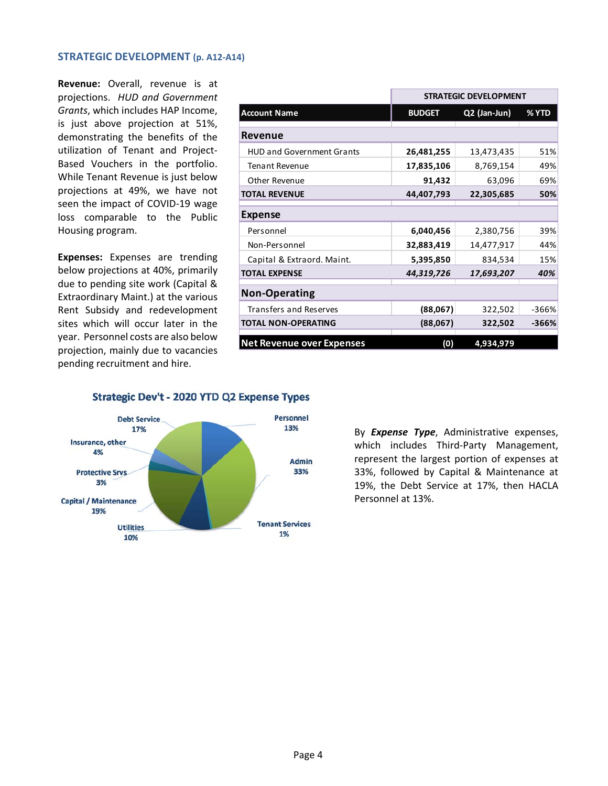#### **STRATEGIC DEVELOPMENT (p. A12‐A14)**

**Revenue:**  Overall, revenue is at projections. *HUD and Government Grants*, which includes HAP Income, is just above projection at 51%, demonstrating the benefits of the utilization of Tenant and Project‐ Based Vouchers in the portfolio. While Tenant Revenue is just below projections at 49%, we have not seen the impact of COVID‐19 wage loss comparable to the Public Housing program.

**Expenses:**  Expenses are trending below projections at 40%, primarily due to pending site work (Capital & Extraordinary Maint.) at the various Rent Subsidy and redevelopment sites which will occur later in the year. Personnel costs are also below projection, mainly due to vacancies pending recruitment and hire.

|                                  | <b>STRATEGIC DEVELOPMENT</b> |              |         |  |
|----------------------------------|------------------------------|--------------|---------|--|
| <b>Account Name</b>              | <b>BUDGET</b>                | Q2 (Jan-Jun) | % YTD   |  |
| Revenue                          |                              |              |         |  |
| <b>HUD and Government Grants</b> | 26,481,255                   | 13,473,435   | 51%     |  |
| <b>Tenant Revenue</b>            | 17,835,106                   | 8,769,154    | 49%     |  |
| Other Revenue                    | 91,432                       | 63,096       | 69%     |  |
| <b>TOTAL REVENUE</b>             | 44,407,793                   | 22,305,685   | 50%     |  |
| <b>Expense</b>                   |                              |              |         |  |
| Personnel                        | 6,040,456                    | 2,380,756    | 39%     |  |
| Non-Personnel                    | 32,883,419                   | 14,477,917   | 44%     |  |
| Capital & Extraord. Maint.       | 5,395,850                    | 834,534      | 15%     |  |
| <b>TOTAL EXPENSE</b>             | 44,319,726                   | 17,693,207   | 40%     |  |
| <b>Non-Operating</b>             |                              |              |         |  |
| <b>Transfers and Reserves</b>    | (88,067)                     | 322,502      | $-366%$ |  |
| <b>TOTAL NON-OPERATING</b>       | (88,067)                     | 322,502      | -366%   |  |
| <b>Net Revenue over Expenses</b> | (0)                          | 4,934,979    |         |  |

Strategic Dev't - 2020 YTD Q2 Expense Types



By *Expense Type*, Administrative expenses, which includes Third-Party Management, represent the largest portion of expenses at 33%, followed by Capital & Maintenance at 19%, the Debt Service at 17%, then HACLA Personnel at 13%.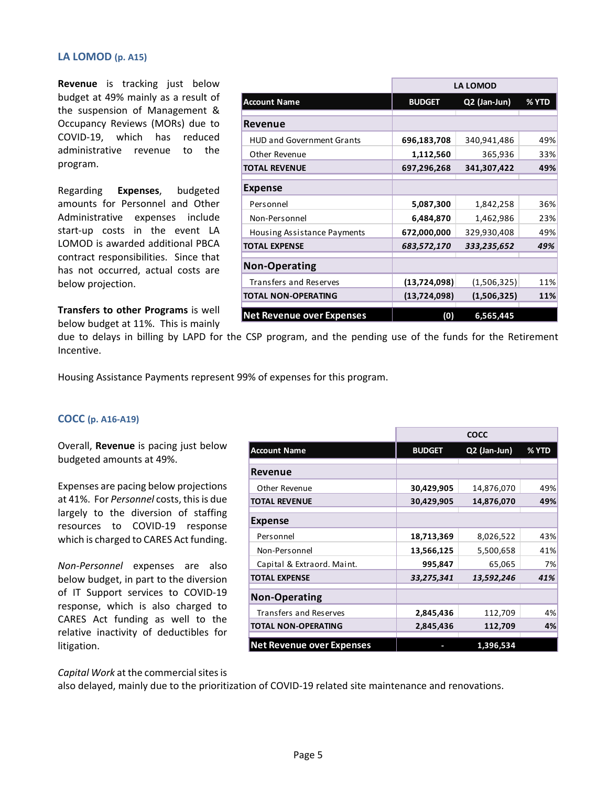#### **LA LOMOD (p. A15)**

**Revenue** is tracking just below budget at 49% mainly as a result of the suspension of Management & Occupancy Reviews (MORs) due to COVID‐19, which has reduced administrative revenue to the program.

Regarding **Expenses**, budgeted amounts for Personnel and Other Administrative expenses include start-up costs in the event LA LOMOD is awarded additional PBCA contract responsibilities. Since that has not occurred, actual costs are below projection.

**Transfers to other Programs** is well below budget at 11%. This is mainly

|                                  | <b>LA LOMOD</b> |              |       |  |
|----------------------------------|-----------------|--------------|-------|--|
| <b>Account Name</b>              | <b>BUDGET</b>   | Q2 (Jan-Jun) | % YTD |  |
| Revenue                          |                 |              |       |  |
| <b>HUD and Government Grants</b> | 696,183,708     | 340,941,486  | 49%   |  |
| Other Revenue                    | 1,112,560       | 365,936      | 33%   |  |
| <b>TOTAL REVENUE</b>             | 697,296,268     | 341,307,422  | 49%   |  |
| <b>Expense</b>                   |                 |              |       |  |
| Personnel                        | 5,087,300       | 1,842,258    | 36%   |  |
| Non-Personnel                    | 6,484,870       | 1,462,986    | 23%   |  |
| Housing Assistance Payments      | 672,000,000     | 329,930,408  | 49%   |  |
| <b>TOTAL EXPENSE</b>             | 683,572,170     | 333,235,652  | 49%   |  |
| <b>Non-Operating</b>             |                 |              |       |  |
| Transfers and Reserves           | (13, 724, 098)  | (1,506,325)  | 11%   |  |
| <b>TOTAL NON-OPERATING</b>       | (13,724,098)    | (1,506,325)  | 11%   |  |
| <b>Net Revenue over Expenses</b> | (0)             | 6,565,445    |       |  |

due to delays in billing by LAPD for the CSP program, and the pending use of the funds for the Retirement Incentive.

Housing Assistance Payments represent 99% of expenses for this program.

#### **COCC (p. A16‐A19)**

Overall, **Revenue** is pacing just below budgeted amounts at 49%.

Expenses are pacing below projections at 41%. For *Personnel* costs, this is due largely to the diversion of staffing resources to COVID‐19 response which is charged to CARES Act funding.

*Non‐Personnel* expenses are also below budget, in part to the diversion of IT Support services to COVID-19 response, which is also charged to CARES Act funding as well to the relative inactivity of deductibles for litigation.

|                                  | COCC          |              |       |
|----------------------------------|---------------|--------------|-------|
| <b>Account Name</b>              | <b>BUDGET</b> | Q2 (Jan-Jun) | % YTD |
| Revenue                          |               |              |       |
| Other Revenue                    | 30,429,905    | 14,876,070   | 49%   |
| TOTAL REVENUE                    | 30,429,905    | 14,876,070   | 49%   |
| <b>Expense</b>                   |               |              |       |
| Personnel                        | 18,713,369    | 8,026,522    | 43%   |
| Non-Personnel                    | 13,566,125    | 5,500,658    | 41%   |
| Capital & Extraord. Maint.       | 995,847       | 65,065       | 7%    |
| <b>TOTAL EXPENSE</b>             | 33,275,341    | 13,592,246   | 41%   |
| <b>Non-Operating</b>             |               |              |       |
| <b>Transfers and Reserves</b>    | 2,845,436     | 112,709      | 4%    |
| <b>TOTAL NON-OPERATING</b>       | 2,845,436     | 112,709      | 4%    |
| <b>Net Revenue over Expenses</b> |               | 1,396,534    |       |

*Capital Work* at the commercial sites is

also delayed, mainly due to the prioritization of COVID‐19 related site maintenance and renovations.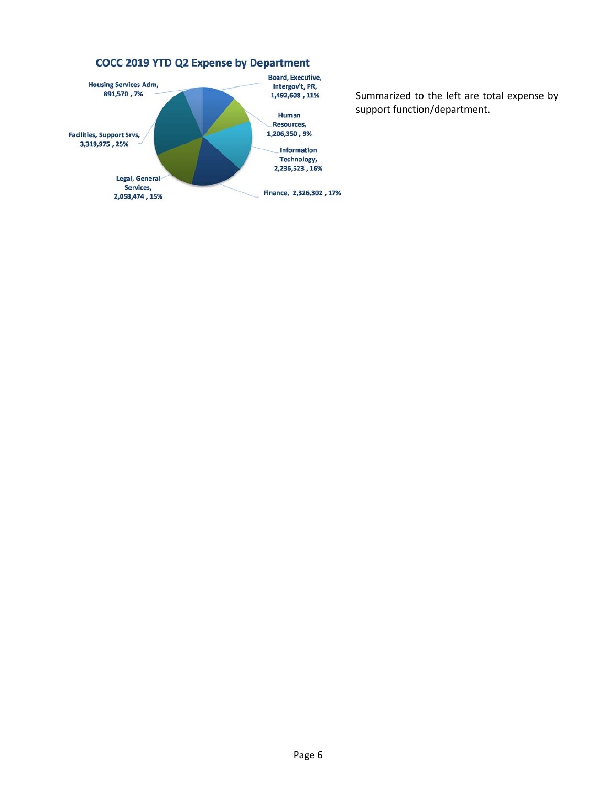

Summarized to the left are total expense by support function/department.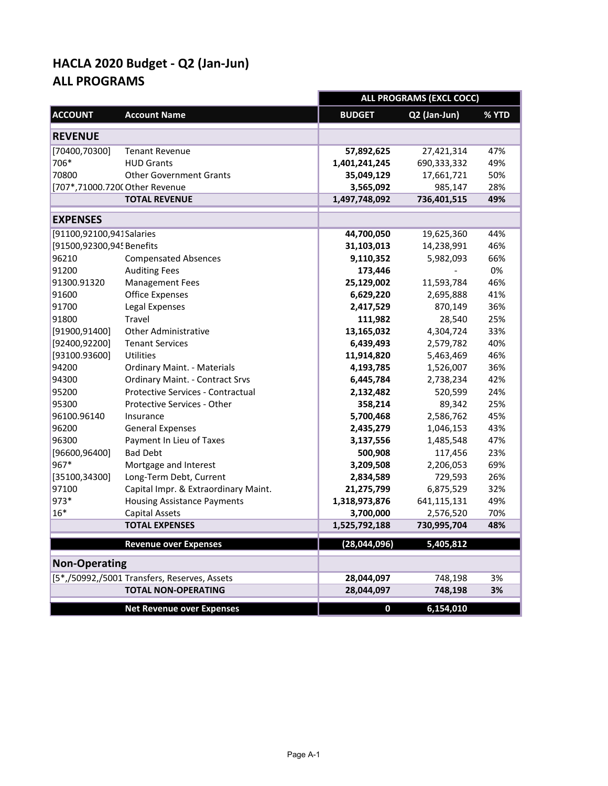|                                |                                              | <b>ALL PROGRAMS (EXCL COCC)</b> |              |       |
|--------------------------------|----------------------------------------------|---------------------------------|--------------|-------|
| <b>ACCOUNT</b>                 | <b>Account Name</b>                          | <b>BUDGET</b>                   | Q2 (Jan-Jun) | % YTD |
| <b>REVENUE</b>                 |                                              |                                 |              |       |
| [70400,70300]                  | <b>Tenant Revenue</b>                        | 57,892,625                      | 27,421,314   | 47%   |
| 706*                           | <b>HUD Grants</b>                            | 1,401,241,245                   | 690,333,332  | 49%   |
| 70800                          | <b>Other Government Grants</b>               | 35,049,129                      | 17,661,721   | 50%   |
| [707*,71000.7200 Other Revenue |                                              | 3,565,092                       | 985,147      | 28%   |
|                                | <b>TOTAL REVENUE</b>                         | 1,497,748,092                   | 736,401,515  | 49%   |
| <b>EXPENSES</b>                |                                              |                                 |              |       |
| [91100,92100,941 Salaries      |                                              | 44,700,050                      | 19,625,360   | 44%   |
| [91500,92300,94! Benefits      |                                              | 31,103,013                      | 14,238,991   | 46%   |
| 96210                          | <b>Compensated Absences</b>                  | 9,110,352                       | 5,982,093    | 66%   |
| 91200                          | <b>Auditing Fees</b>                         | 173,446                         |              | 0%    |
| 91300.91320                    | <b>Management Fees</b>                       | 25,129,002                      | 11,593,784   | 46%   |
| 91600                          | <b>Office Expenses</b>                       | 6,629,220                       | 2,695,888    | 41%   |
| 91700                          | Legal Expenses                               | 2,417,529                       | 870,149      | 36%   |
| 91800                          | <b>Travel</b>                                | 111,982                         | 28,540       | 25%   |
| [91900,91400]                  | <b>Other Administrative</b>                  | 13,165,032                      | 4,304,724    | 33%   |
| [92400,92200]                  | <b>Tenant Services</b>                       | 6,439,493                       | 2,579,782    | 40%   |
| [93100.93600]                  | <b>Utilities</b>                             | 11,914,820                      | 5,463,469    | 46%   |
| 94200                          | <b>Ordinary Maint. - Materials</b>           | 4,193,785                       | 1,526,007    | 36%   |
| 94300                          | <b>Ordinary Maint. - Contract Srvs</b>       | 6,445,784                       | 2,738,234    | 42%   |
| 95200                          | Protective Services - Contractual            | 2,132,482                       | 520,599      | 24%   |
| 95300                          | Protective Services - Other                  | 358,214                         | 89,342       | 25%   |
| 96100.96140                    | Insurance                                    | 5,700,468                       | 2,586,762    | 45%   |
| 96200                          | <b>General Expenses</b>                      | 2,435,279                       | 1,046,153    | 43%   |
| 96300                          | Payment In Lieu of Taxes                     | 3,137,556                       | 1,485,548    | 47%   |
| [96600, 96400]                 | <b>Bad Debt</b>                              | 500,908                         | 117,456      | 23%   |
| 967*                           | Mortgage and Interest                        | 3,209,508                       | 2,206,053    | 69%   |
| [35100, 34300]                 | Long-Term Debt, Current                      | 2,834,589                       | 729,593      | 26%   |
| 97100                          | Capital Impr. & Extraordinary Maint.         | 21,275,799                      | 6,875,529    | 32%   |
| 973*                           | <b>Housing Assistance Payments</b>           | 1,318,973,876                   | 641,115,131  | 49%   |
| $16*$                          | <b>Capital Assets</b>                        | 3,700,000                       | 2,576,520    | 70%   |
|                                | <b>TOTAL EXPENSES</b>                        | 1,525,792,188                   | 730,995,704  | 48%   |
|                                | <b>Revenue over Expenses</b>                 | (28,044,096)                    | 5,405,812    |       |
| <b>Non-Operating</b>           |                                              |                                 |              |       |
|                                | [5*,/50992,/5001 Transfers, Reserves, Assets | 28,044,097                      | 748,198      | 3%    |
|                                | <b>TOTAL NON-OPERATING</b>                   | 28,044,097                      | 748,198      | 3%    |
|                                | <b>Net Revenue over Expenses</b>             | $\boldsymbol{0}$                | 6,154,010    |       |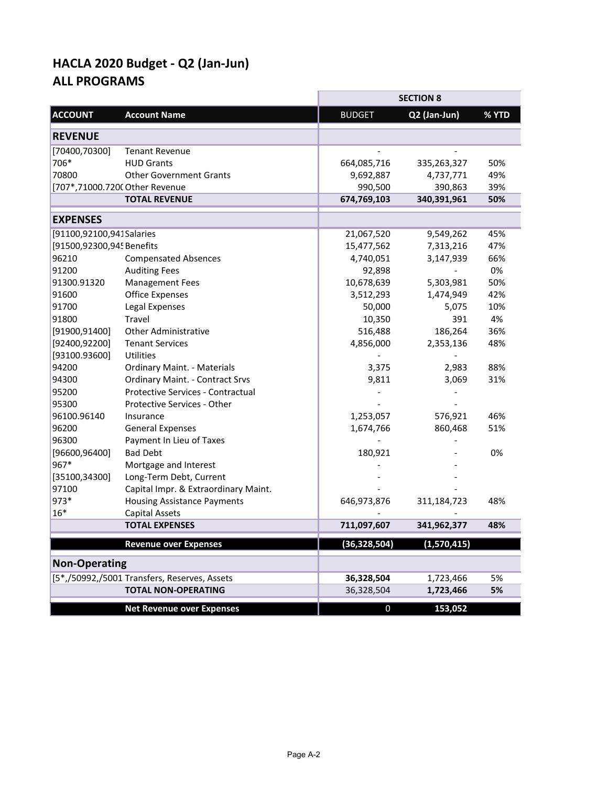|                           |                                              |                | <b>SECTION 8</b> |       |
|---------------------------|----------------------------------------------|----------------|------------------|-------|
| <b>ACCOUNT</b>            | <b>Account Name</b>                          | <b>BUDGET</b>  | Q2 (Jan-Jun)     | % YTD |
| <b>REVENUE</b>            |                                              |                |                  |       |
| [70400, 70300]            | <b>Tenant Revenue</b>                        |                |                  |       |
| 706*                      | <b>HUD Grants</b>                            | 664,085,716    | 335,263,327      | 50%   |
| 70800                     | <b>Other Government Grants</b>               | 9,692,887      | 4,737,771        | 49%   |
|                           | [707*,71000.7200 Other Revenue               | 990,500        | 390,863          | 39%   |
|                           | <b>TOTAL REVENUE</b>                         | 674,769,103    | 340,391,961      | 50%   |
| <b>EXPENSES</b>           |                                              |                |                  |       |
| [91100,92100,941 Salaries |                                              | 21,067,520     | 9,549,262        | 45%   |
| [91500,92300,94! Benefits |                                              | 15,477,562     | 7,313,216        | 47%   |
| 96210                     | <b>Compensated Absences</b>                  | 4,740,051      | 3,147,939        | 66%   |
| 91200                     | <b>Auditing Fees</b>                         | 92,898         |                  | 0%    |
| 91300.91320               | <b>Management Fees</b>                       | 10,678,639     | 5,303,981        | 50%   |
| 91600                     | <b>Office Expenses</b>                       | 3,512,293      | 1,474,949        | 42%   |
| 91700                     | Legal Expenses                               | 50,000         | 5,075            | 10%   |
| 91800                     | Travel                                       | 10,350         | 391              | 4%    |
| [91900, 91400]            | <b>Other Administrative</b>                  | 516,488        | 186,264          | 36%   |
| [92400, 92200]            | <b>Tenant Services</b>                       | 4,856,000      | 2,353,136        | 48%   |
| [93100.93600]             | Utilities                                    |                |                  |       |
| 94200                     | <b>Ordinary Maint. - Materials</b>           | 3,375          | 2,983            | 88%   |
| 94300                     | <b>Ordinary Maint. - Contract Srvs</b>       | 9,811          | 3,069            | 31%   |
| 95200                     | Protective Services - Contractual            |                |                  |       |
| 95300                     | Protective Services - Other                  |                |                  |       |
| 96100.96140               | Insurance                                    | 1,253,057      | 576,921          | 46%   |
| 96200                     | <b>General Expenses</b>                      | 1,674,766      | 860,468          | 51%   |
| 96300                     | Payment In Lieu of Taxes                     |                |                  |       |
| [96600, 96400]            | <b>Bad Debt</b>                              | 180,921        |                  | 0%    |
| 967*                      | Mortgage and Interest                        |                |                  |       |
| [35100, 34300]            | Long-Term Debt, Current                      |                |                  |       |
| 97100                     | Capital Impr. & Extraordinary Maint.         |                |                  |       |
| 973*                      | <b>Housing Assistance Payments</b>           | 646,973,876    | 311,184,723      | 48%   |
| $16*$                     | <b>Capital Assets</b>                        |                |                  |       |
|                           | <b>TOTAL EXPENSES</b>                        | 711,097,607    | 341,962,377      | 48%   |
|                           | <b>Revenue over Expenses</b>                 | (36, 328, 504) | (1,570,415)      |       |
| <b>Non-Operating</b>      |                                              |                |                  |       |
|                           | [5*,/50992,/5001 Transfers, Reserves, Assets | 36,328,504     | 1,723,466        | 5%    |
|                           | <b>TOTAL NON-OPERATING</b>                   | 36,328,504     | 1,723,466        | 5%    |
|                           | <b>Net Revenue over Expenses</b>             | 0              | 153,052          |       |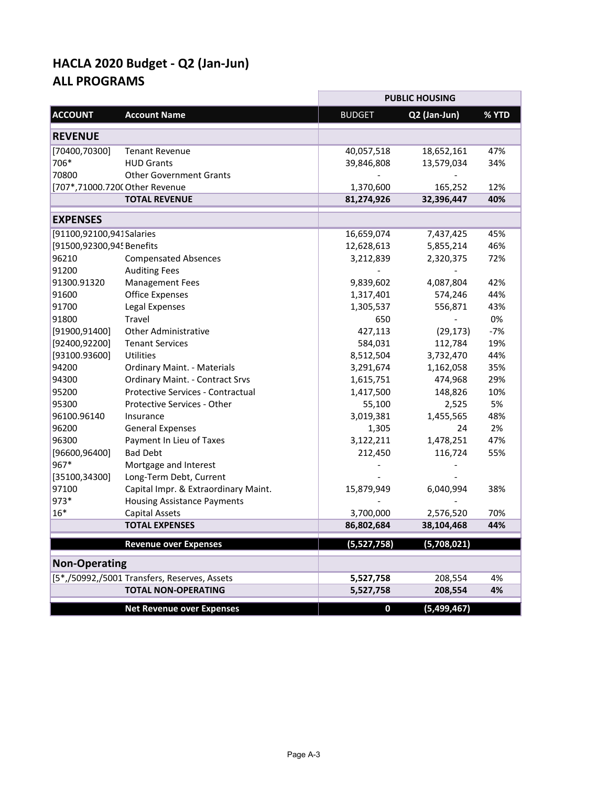|                                |                                              |               | <b>PUBLIC HOUSING</b> |       |
|--------------------------------|----------------------------------------------|---------------|-----------------------|-------|
| <b>ACCOUNT</b>                 | <b>Account Name</b>                          | <b>BUDGET</b> | Q2 (Jan-Jun)          | % YTD |
|                                |                                              |               |                       |       |
| <b>REVENUE</b>                 |                                              |               |                       |       |
| [70400, 70300]                 | <b>Tenant Revenue</b>                        | 40,057,518    | 18,652,161            | 47%   |
| 706*                           | <b>HUD Grants</b>                            | 39,846,808    | 13,579,034            | 34%   |
| 70800                          | <b>Other Government Grants</b>               |               |                       |       |
| [707*,71000.7200 Other Revenue |                                              | 1,370,600     | 165,252               | 12%   |
|                                | <b>TOTAL REVENUE</b>                         | 81,274,926    | 32,396,447            | 40%   |
| <b>EXPENSES</b>                |                                              |               |                       |       |
| [91100,92100,941 Salaries      |                                              | 16,659,074    | 7,437,425             | 45%   |
| [91500,92300,94! Benefits      |                                              | 12,628,613    | 5,855,214             | 46%   |
| 96210                          | <b>Compensated Absences</b>                  | 3,212,839     | 2,320,375             | 72%   |
| 91200                          | <b>Auditing Fees</b>                         |               |                       |       |
| 91300.91320                    | <b>Management Fees</b>                       | 9,839,602     | 4,087,804             | 42%   |
| 91600                          | <b>Office Expenses</b>                       | 1,317,401     | 574,246               | 44%   |
| 91700                          | Legal Expenses                               | 1,305,537     | 556,871               | 43%   |
| 91800                          | Travel                                       | 650           |                       | 0%    |
| [91900, 91400]                 | <b>Other Administrative</b>                  | 427,113       | (29, 173)             | $-7%$ |
| [92400, 92200]                 | <b>Tenant Services</b>                       | 584,031       | 112,784               | 19%   |
| [93100.93600]                  | Utilities                                    | 8,512,504     | 3,732,470             | 44%   |
| 94200                          | <b>Ordinary Maint. - Materials</b>           | 3,291,674     | 1,162,058             | 35%   |
| 94300                          | <b>Ordinary Maint. - Contract Srvs</b>       | 1,615,751     | 474,968               | 29%   |
| 95200                          | Protective Services - Contractual            | 1,417,500     | 148,826               | 10%   |
| 95300                          | Protective Services - Other                  | 55,100        | 2,525                 | 5%    |
| 96100.96140                    | Insurance                                    | 3,019,381     | 1,455,565             | 48%   |
| 96200                          | <b>General Expenses</b>                      | 1,305         | 24                    | 2%    |
| 96300                          | Payment In Lieu of Taxes                     | 3,122,211     | 1,478,251             | 47%   |
| [96600,96400]                  | <b>Bad Debt</b>                              | 212,450       | 116,724               | 55%   |
| 967*                           | Mortgage and Interest                        |               |                       |       |
| [35100,34300]                  | Long-Term Debt, Current                      |               |                       |       |
| 97100                          | Capital Impr. & Extraordinary Maint.         | 15,879,949    | 6,040,994             | 38%   |
| 973*                           | <b>Housing Assistance Payments</b>           |               |                       |       |
| 16*                            | <b>Capital Assets</b>                        | 3,700,000     | 2,576,520             | 70%   |
|                                | <b>TOTAL EXPENSES</b>                        | 86,802,684    | 38,104,468            | 44%   |
|                                | <b>Revenue over Expenses</b>                 | (5,527,758)   | (5,708,021)           |       |
| <b>Non-Operating</b>           |                                              |               |                       |       |
|                                | [5*,/50992,/5001 Transfers, Reserves, Assets | 5,527,758     | 208,554               | 4%    |
|                                | <b>TOTAL NON-OPERATING</b>                   | 5,527,758     | 208,554               | 4%    |
|                                | <b>Net Revenue over Expenses</b>             | $\mathbf 0$   | (5,499,467)           |       |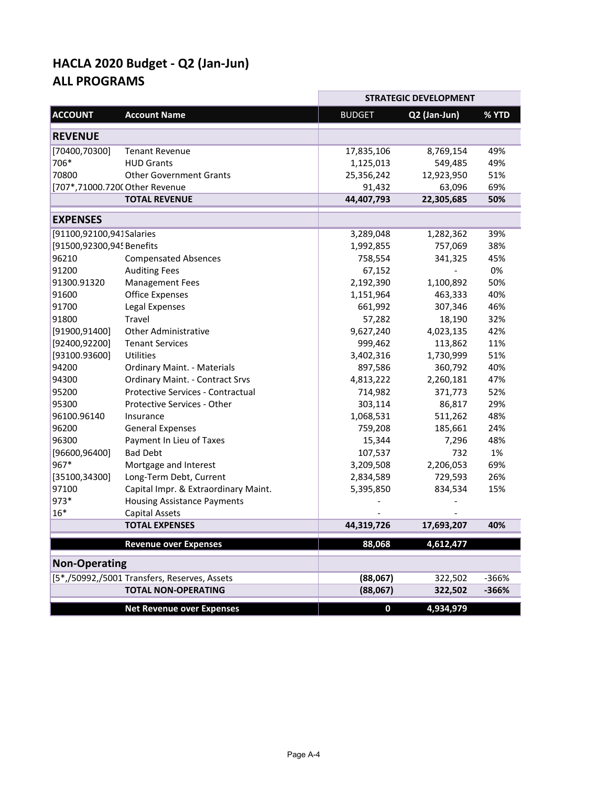|                           |                                              |               | <b>STRATEGIC DEVELOPMENT</b> |       |
|---------------------------|----------------------------------------------|---------------|------------------------------|-------|
| <b>ACCOUNT</b>            | <b>Account Name</b>                          | <b>BUDGET</b> | Q2 (Jan-Jun)                 | % YTD |
| <b>REVENUE</b>            |                                              |               |                              |       |
| [70400,70300]             | <b>Tenant Revenue</b>                        | 17,835,106    | 8,769,154                    | 49%   |
| 706*                      | <b>HUD Grants</b>                            | 1,125,013     | 549,485                      | 49%   |
| 70800                     | <b>Other Government Grants</b>               | 25,356,242    | 12,923,950                   | 51%   |
|                           | [707*,71000.7200 Other Revenue               | 91,432        | 63,096                       | 69%   |
|                           | <b>TOTAL REVENUE</b>                         | 44,407,793    | 22,305,685                   | 50%   |
| <b>EXPENSES</b>           |                                              |               |                              |       |
| [91100,92100,941 Salaries |                                              | 3,289,048     | 1,282,362                    | 39%   |
| [91500,92300,94! Benefits |                                              | 1,992,855     | 757,069                      | 38%   |
| 96210                     | <b>Compensated Absences</b>                  | 758,554       | 341,325                      | 45%   |
| 91200                     | <b>Auditing Fees</b>                         | 67,152        |                              | 0%    |
| 91300.91320               | <b>Management Fees</b>                       | 2,192,390     | 1,100,892                    | 50%   |
| 91600                     | <b>Office Expenses</b>                       | 1,151,964     | 463,333                      | 40%   |
| 91700                     | Legal Expenses                               | 661,992       | 307,346                      | 46%   |
| 91800                     | Travel                                       | 57,282        | 18,190                       | 32%   |
| [91900, 91400]            | <b>Other Administrative</b>                  | 9,627,240     | 4,023,135                    | 42%   |
| [92400, 92200]            | <b>Tenant Services</b>                       | 999,462       | 113,862                      | 11%   |
| [93100.93600]             | Utilities                                    | 3,402,316     | 1,730,999                    | 51%   |
| 94200                     | <b>Ordinary Maint. - Materials</b>           | 897,586       | 360,792                      | 40%   |
| 94300                     | <b>Ordinary Maint. - Contract Srvs</b>       | 4,813,222     | 2,260,181                    | 47%   |
| 95200                     | <b>Protective Services - Contractual</b>     | 714,982       | 371,773                      | 52%   |
| 95300                     | Protective Services - Other                  | 303,114       | 86,817                       | 29%   |
| 96100.96140               | Insurance                                    | 1,068,531     | 511,262                      | 48%   |
| 96200                     | <b>General Expenses</b>                      | 759,208       | 185,661                      | 24%   |
| 96300                     | Payment In Lieu of Taxes                     | 15,344        | 7,296                        | 48%   |
| [96600, 96400]            | <b>Bad Debt</b>                              | 107,537       | 732                          | 1%    |
| 967*                      | Mortgage and Interest                        | 3,209,508     | 2,206,053                    | 69%   |
| [35100, 34300]            | Long-Term Debt, Current                      | 2,834,589     | 729,593                      | 26%   |
| 97100                     | Capital Impr. & Extraordinary Maint.         | 5,395,850     | 834,534                      | 15%   |
| 973*                      | <b>Housing Assistance Payments</b>           |               |                              |       |
| $16*$                     | Capital Assets                               |               |                              |       |
|                           | <b>TOTAL EXPENSES</b>                        | 44,319,726    | 17,693,207                   | 40%   |
|                           | <b>Revenue over Expenses</b>                 | 88,068        | 4,612,477                    |       |
| <b>Non-Operating</b>      |                                              |               |                              |       |
|                           | [5*,/50992,/5001 Transfers, Reserves, Assets | (88,067)      | 322,502                      | -366% |
|                           | <b>TOTAL NON-OPERATING</b>                   | (88,067)      | 322,502                      | -366% |
|                           | <b>Net Revenue over Expenses</b>             | $\mathbf 0$   | 4,934,979                    |       |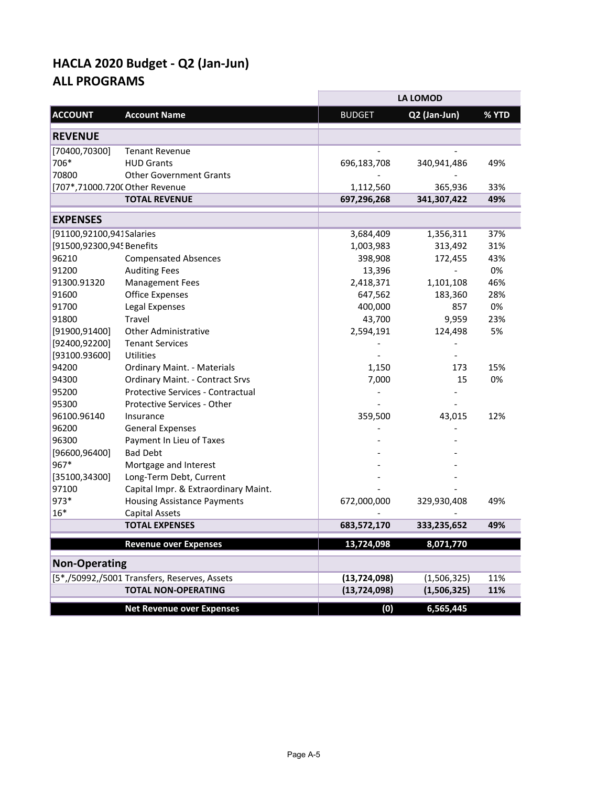|                                |                                              |                | <b>LA LOMOD</b> |       |
|--------------------------------|----------------------------------------------|----------------|-----------------|-------|
| <b>ACCOUNT</b>                 | <b>Account Name</b>                          | <b>BUDGET</b>  | Q2 (Jan-Jun)    | % YTD |
| <b>REVENUE</b>                 |                                              |                |                 |       |
| [70400,70300]                  | <b>Tenant Revenue</b>                        |                |                 |       |
| 706*                           | <b>HUD Grants</b>                            | 696,183,708    | 340,941,486     | 49%   |
| 70800                          | <b>Other Government Grants</b>               |                |                 |       |
| [707*,71000.7200 Other Revenue |                                              | 1,112,560      | 365,936         | 33%   |
|                                | <b>TOTAL REVENUE</b>                         | 697,296,268    | 341,307,422     | 49%   |
| <b>EXPENSES</b>                |                                              |                |                 |       |
| [91100,92100,941 Salaries      |                                              | 3,684,409      | 1,356,311       | 37%   |
| [91500,92300,94! Benefits      |                                              | 1,003,983      | 313,492         | 31%   |
| 96210                          | <b>Compensated Absences</b>                  | 398,908        | 172,455         | 43%   |
| 91200                          | <b>Auditing Fees</b>                         | 13,396         |                 | 0%    |
| 91300.91320                    | <b>Management Fees</b>                       | 2,418,371      | 1,101,108       | 46%   |
| 91600                          | <b>Office Expenses</b>                       | 647,562        | 183,360         | 28%   |
| 91700                          | Legal Expenses                               | 400,000        | 857             | 0%    |
| 91800                          | <b>Travel</b>                                | 43,700         | 9,959           | 23%   |
| [91900, 91400]                 | <b>Other Administrative</b>                  | 2,594,191      | 124,498         | 5%    |
| [92400, 92200]                 | <b>Tenant Services</b>                       |                |                 |       |
| [93100.93600]                  | <b>Utilities</b>                             |                |                 |       |
| 94200                          | <b>Ordinary Maint. - Materials</b>           | 1,150          | 173             | 15%   |
| 94300                          | <b>Ordinary Maint. - Contract Srvs</b>       | 7,000          | 15              | 0%    |
| 95200                          | Protective Services - Contractual            |                |                 |       |
| 95300                          | Protective Services - Other                  |                |                 |       |
| 96100.96140                    | Insurance                                    | 359,500        | 43,015          | 12%   |
| 96200                          | <b>General Expenses</b>                      |                |                 |       |
| 96300                          | Payment In Lieu of Taxes                     |                |                 |       |
| [96600, 96400]                 | <b>Bad Debt</b>                              |                |                 |       |
| 967*                           | Mortgage and Interest                        |                |                 |       |
| [35100, 34300]                 | Long-Term Debt, Current                      |                |                 |       |
| 97100                          | Capital Impr. & Extraordinary Maint.         |                |                 |       |
| 973*                           | <b>Housing Assistance Payments</b>           | 672,000,000    | 329,930,408     | 49%   |
| 16*                            | <b>Capital Assets</b>                        |                |                 |       |
|                                | <b>TOTAL EXPENSES</b>                        | 683,572,170    | 333,235,652     | 49%   |
|                                | <b>Revenue over Expenses</b>                 | 13,724,098     | 8,071,770       |       |
| <b>Non-Operating</b>           |                                              |                |                 |       |
|                                | [5*,/50992,/5001 Transfers, Reserves, Assets | (13, 724, 098) | (1,506,325)     | 11%   |
|                                | <b>TOTAL NON-OPERATING</b>                   | (13, 724, 098) | (1,506,325)     | 11%   |
|                                | <b>Net Revenue over Expenses</b>             | (0)            | 6,565,445       |       |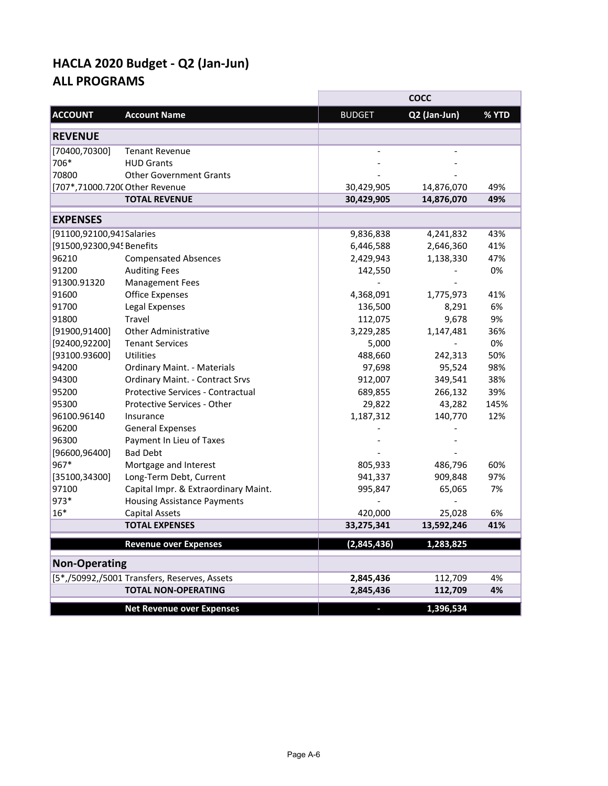|                                |                                              |               | <b>COCC</b>  |       |
|--------------------------------|----------------------------------------------|---------------|--------------|-------|
| <b>ACCOUNT</b>                 | <b>Account Name</b>                          | <b>BUDGET</b> | Q2 (Jan-Jun) | % YTD |
| <b>REVENUE</b>                 |                                              |               |              |       |
| [70400,70300]                  | <b>Tenant Revenue</b>                        |               |              |       |
| 706*                           | <b>HUD Grants</b>                            |               |              |       |
| 70800                          | <b>Other Government Grants</b>               |               |              |       |
| [707*,71000.7200 Other Revenue |                                              | 30,429,905    | 14,876,070   | 49%   |
|                                | <b>TOTAL REVENUE</b>                         | 30,429,905    | 14,876,070   | 49%   |
| <b>EXPENSES</b>                |                                              |               |              |       |
| [91100,92100,941 Salaries      |                                              | 9,836,838     | 4,241,832    | 43%   |
| [91500,92300,94! Benefits      |                                              | 6,446,588     | 2,646,360    | 41%   |
| 96210                          | <b>Compensated Absences</b>                  | 2,429,943     | 1,138,330    | 47%   |
| 91200                          | <b>Auditing Fees</b>                         | 142,550       |              | 0%    |
| 91300.91320                    | <b>Management Fees</b>                       |               |              |       |
| 91600                          | <b>Office Expenses</b>                       | 4,368,091     | 1,775,973    | 41%   |
| 91700                          | Legal Expenses                               | 136,500       | 8,291        | 6%    |
| 91800                          | <b>Travel</b>                                | 112,075       | 9,678        | 9%    |
| [91900, 91400]                 | <b>Other Administrative</b>                  | 3,229,285     | 1,147,481    | 36%   |
| [92400, 92200]                 | <b>Tenant Services</b>                       | 5,000         |              | 0%    |
| [93100.93600]                  | Utilities                                    | 488,660       | 242,313      | 50%   |
| 94200                          | <b>Ordinary Maint. - Materials</b>           | 97,698        | 95,524       | 98%   |
| 94300                          | <b>Ordinary Maint. - Contract Srvs</b>       | 912,007       | 349,541      | 38%   |
| 95200                          | <b>Protective Services - Contractual</b>     | 689,855       | 266,132      | 39%   |
| 95300                          | Protective Services - Other                  | 29,822        | 43,282       | 145%  |
| 96100.96140                    | Insurance                                    | 1,187,312     | 140,770      | 12%   |
| 96200                          | <b>General Expenses</b>                      |               |              |       |
| 96300                          | Payment In Lieu of Taxes                     |               |              |       |
| [96600, 96400]                 | <b>Bad Debt</b>                              |               |              |       |
| 967*                           | Mortgage and Interest                        | 805,933       | 486,796      | 60%   |
| [35100, 34300]                 | Long-Term Debt, Current                      | 941,337       | 909,848      | 97%   |
| 97100                          | Capital Impr. & Extraordinary Maint.         | 995,847       | 65,065       | 7%    |
| 973*                           | <b>Housing Assistance Payments</b>           |               |              |       |
| $16*$                          | <b>Capital Assets</b>                        | 420,000       | 25,028       | 6%    |
|                                | <b>TOTAL EXPENSES</b>                        | 33,275,341    | 13,592,246   | 41%   |
|                                | <b>Revenue over Expenses</b>                 | (2,845,436)   | 1,283,825    |       |
| <b>Non-Operating</b>           |                                              |               |              |       |
|                                | [5*,/50992,/5001 Transfers, Reserves, Assets | 2,845,436     | 112,709      | 4%    |
|                                | <b>TOTAL NON-OPERATING</b>                   | 2,845,436     | 112,709      | 4%    |
|                                | <b>Net Revenue over Expenses</b>             |               | 1,396,534    |       |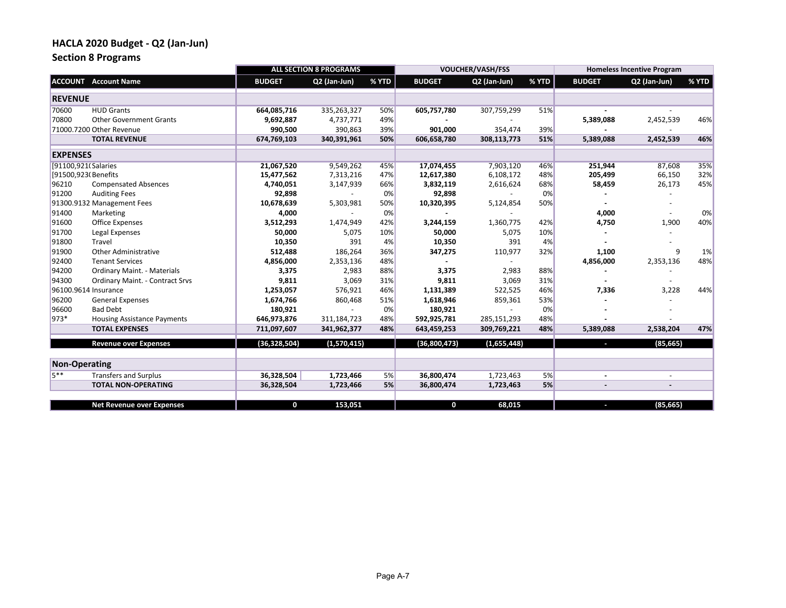## **Section 8 Programs**

|                      |                                        |                | <b>ALL SECTION 8 PROGRAMS</b> |       |               | <b>VOUCHER/VASH/FSS</b> |       |                | <b>Homeless Incentive Program</b> |       |
|----------------------|----------------------------------------|----------------|-------------------------------|-------|---------------|-------------------------|-------|----------------|-----------------------------------|-------|
|                      | <b>ACCOUNT</b> Account Name            | <b>BUDGET</b>  | Q2 (Jan-Jun)                  | % YTD | <b>BUDGET</b> | Q2 (Jan-Jun)            | % YTD | <b>BUDGET</b>  | Q2 (Jan-Jun)                      | % YTD |
| <b>REVENUE</b>       |                                        |                |                               |       |               |                         |       |                |                                   |       |
| 70600                | <b>HUD Grants</b>                      | 664,085,716    | 335,263,327                   | 50%   | 605,757,780   | 307,759,299             | 51%   |                |                                   |       |
| 70800                | <b>Other Government Grants</b>         | 9,692,887      | 4,737,771                     | 49%   |               |                         |       | 5,389,088      | 2,452,539                         | 46%   |
|                      | 71000.7200 Other Revenue               | 990,500        | 390,863                       | 39%   | 901,000       | 354,474                 | 39%   |                |                                   |       |
|                      | <b>TOTAL REVENUE</b>                   | 674,769,103    | 340,391,961                   | 50%   | 606,658,780   | 308,113,773             | 51%   | 5,389,088      | 2,452,539                         | 46%   |
| <b>EXPENSES</b>      |                                        |                |                               |       |               |                         |       |                |                                   |       |
|                      | [91100,921(Salaries                    | 21,067,520     | 9,549,262                     | 45%   | 17,074,455    | 7,903,120               | 46%   | 251,944        | 87,608                            | 35%   |
|                      | [91500,923(Benefits                    | 15,477,562     | 7,313,216                     | 47%   | 12,617,380    | 6,108,172               | 48%   | 205,499        | 66,150                            | 32%   |
| 96210                | <b>Compensated Absences</b>            | 4,740,051      | 3,147,939                     | 66%   | 3,832,119     | 2,616,624               | 68%   | 58,459         | 26,173                            | 45%   |
| 91200                | <b>Auditing Fees</b>                   | 92,898         |                               | 0%    | 92,898        |                         | 0%    |                |                                   |       |
|                      | 91300.9132 Management Fees             | 10,678,639     | 5,303,981                     | 50%   | 10,320,395    | 5,124,854               | 50%   |                |                                   |       |
| 91400                | Marketing                              | 4,000          |                               | 0%    |               |                         |       | 4,000          |                                   | 0%    |
| 91600                | Office Expenses                        | 3,512,293      | 1,474,949                     | 42%   | 3,244,159     | 1,360,775               | 42%   | 4,750          | 1,900                             | 40%   |
| 91700                | Legal Expenses                         | 50,000         | 5,075                         | 10%   | 50,000        | 5,075                   | 10%   |                |                                   |       |
| 91800                | Travel                                 | 10,350         | 391                           | 4%    | 10,350        | 391                     | 4%    |                |                                   |       |
| 91900                | <b>Other Administrative</b>            | 512,488        | 186,264                       | 36%   | 347,275       | 110,977                 | 32%   | 1,100          | 9                                 | 1%    |
| 92400                | <b>Tenant Services</b>                 | 4,856,000      | 2,353,136                     | 48%   |               |                         |       | 4,856,000      | 2,353,136                         | 48%   |
| 94200                | Ordinary Maint. - Materials            | 3,375          | 2,983                         | 88%   | 3,375         | 2,983                   | 88%   |                |                                   |       |
| 94300                | <b>Ordinary Maint. - Contract Srvs</b> | 9,811          | 3,069                         | 31%   | 9,811         | 3,069                   | 31%   |                |                                   |       |
|                      | 96100.9614 Insurance                   | 1,253,057      | 576,921                       | 46%   | 1,131,389     | 522,525                 | 46%   | 7,336          | 3,228                             | 44%   |
| 96200                | <b>General Expenses</b>                | 1,674,766      | 860,468                       | 51%   | 1,618,946     | 859,361                 | 53%   |                |                                   |       |
| 96600                | <b>Bad Debt</b>                        | 180,921        |                               | 0%    | 180,921       |                         | 0%    |                |                                   |       |
| 973*                 | <b>Housing Assistance Payments</b>     | 646,973,876    | 311,184,723                   | 48%   | 592,925,781   | 285,151,293             | 48%   |                |                                   |       |
|                      | <b>TOTAL EXPENSES</b>                  | 711,097,607    | 341,962,377                   | 48%   | 643,459,253   | 309,769,221             | 48%   | 5,389,088      | 2,538,204                         | 47%   |
|                      | <b>Revenue over Expenses</b>           | (36, 328, 504) | (1,570,415)                   |       | (36,800,473)  | (1,655,448)             |       | a,             | (85, 665)                         |       |
| <b>Non-Operating</b> |                                        |                |                               |       |               |                         |       |                |                                   |       |
| $5**$                | <b>Transfers and Surplus</b>           | 36,328,504     | 1,723,466                     | 5%    | 36,800,474    | 1,723,463               | 5%    | $\blacksquare$ |                                   |       |
|                      | <b>TOTAL NON-OPERATING</b>             | 36,328,504     | 1,723,466                     | 5%    | 36,800,474    | 1,723,463               | 5%    |                |                                   |       |
|                      |                                        |                |                               |       |               |                         |       |                |                                   |       |
|                      | <b>Net Revenue over Expenses</b>       | 0              | 153.051                       |       | $\mathbf 0$   | 68.015                  |       | I,             | (85, 665)                         |       |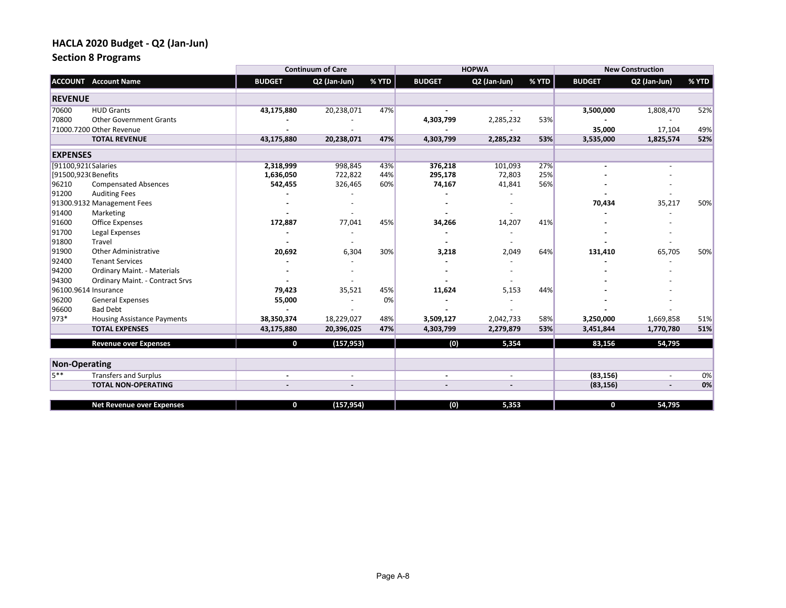## **Section 8 Programs**

|                      |                                        |               | <b>Continuum of Care</b> |       |               | <b>HOPWA</b> |       |               | <b>New Construction</b> |       |
|----------------------|----------------------------------------|---------------|--------------------------|-------|---------------|--------------|-------|---------------|-------------------------|-------|
|                      | <b>ACCOUNT</b> Account Name            | <b>BUDGET</b> | Q2 (Jan-Jun)             | % YTD | <b>BUDGET</b> | Q2 (Jan-Jun) | % YTD | <b>BUDGET</b> | Q2 (Jan-Jun)            | % YTD |
| <b>REVENUE</b>       |                                        |               |                          |       |               |              |       |               |                         |       |
| 70600                | <b>HUD Grants</b>                      | 43,175,880    | 20,238,071               | 47%   |               |              |       | 3,500,000     | 1,808,470               | 52%   |
| 70800                | <b>Other Government Grants</b>         |               |                          |       | 4,303,799     | 2,285,232    | 53%   |               |                         |       |
|                      | 71000.7200 Other Revenue               |               |                          |       |               |              |       | 35,000        | 17,104                  | 49%   |
|                      | <b>TOTAL REVENUE</b>                   | 43,175,880    | 20,238,071               | 47%   | 4,303,799     | 2,285,232    | 53%   | 3,535,000     | 1,825,574               | 52%   |
| <b>EXPENSES</b>      |                                        |               |                          |       |               |              |       |               |                         |       |
|                      | [91100,921(Salaries                    | 2,318,999     | 998,845                  | 43%   | 376,218       | 101,093      | 27%   |               |                         |       |
|                      | [91500,923(Benefits                    | 1,636,050     | 722,822                  | 44%   | 295,178       | 72,803       | 25%   |               |                         |       |
| 96210                | <b>Compensated Absences</b>            | 542,455       | 326,465                  | 60%   | 74,167        | 41,841       | 56%   |               |                         |       |
| 91200                | <b>Auditing Fees</b>                   |               |                          |       |               |              |       |               |                         |       |
|                      | 91300.9132 Management Fees             |               |                          |       |               |              |       | 70,434        | 35,217                  | 50%   |
| 91400                | Marketing                              |               |                          |       |               |              |       |               |                         |       |
| 91600                | <b>Office Expenses</b>                 | 172,887       | 77,041                   | 45%   | 34,266        | 14,207       | 41%   |               |                         |       |
| 91700                | Legal Expenses                         |               |                          |       |               |              |       |               |                         |       |
| 91800                | Travel                                 |               |                          |       |               |              |       |               |                         |       |
| 91900                | <b>Other Administrative</b>            | 20,692        | 6,304                    | 30%   | 3,218         | 2,049        | 64%   | 131,410       | 65,705                  | 50%   |
| 92400                | <b>Tenant Services</b>                 |               |                          |       |               |              |       |               |                         |       |
| 94200                | Ordinary Maint. - Materials            |               |                          |       |               |              |       |               |                         |       |
| 94300                | <b>Ordinary Maint. - Contract Srvs</b> |               |                          |       |               |              |       |               |                         |       |
|                      | 96100.9614 Insurance                   | 79,423        | 35,521                   | 45%   | 11,624        | 5,153        | 44%   |               |                         |       |
| 96200                | <b>General Expenses</b>                | 55,000        |                          | 0%    |               |              |       |               |                         |       |
| 96600                | <b>Bad Debt</b>                        |               |                          |       |               |              |       |               |                         |       |
| 973*                 | <b>Housing Assistance Payments</b>     | 38,350,374    | 18,229,027               | 48%   | 3,509,127     | 2,042,733    | 58%   | 3,250,000     | 1,669,858               | 51%   |
|                      | <b>TOTAL EXPENSES</b>                  | 43,175,880    | 20,396,025               | 47%   | 4,303,799     | 2,279,879    | 53%   | 3,451,844     | 1,770,780               | 51%   |
|                      | <b>Revenue over Expenses</b>           | 0             | (157, 953)               |       | (0)           | 5,354        |       | 83,156        | 54,795                  |       |
| <b>Non-Operating</b> |                                        |               |                          |       |               |              |       |               |                         |       |
| $5**$                | <b>Transfers and Surplus</b>           |               | $\overline{\phantom{a}}$ |       |               |              |       | (83, 156)     |                         | 0%    |
|                      | <b>TOTAL NON-OPERATING</b>             |               |                          |       |               |              |       | (83, 156)     |                         | 0%    |
|                      |                                        |               |                          |       |               |              |       |               |                         |       |
|                      | <b>Net Revenue over Expenses</b>       | 0             | (157, 954)               |       | (0)           | 5,353        |       | $\mathbf{o}$  | 54,795                  |       |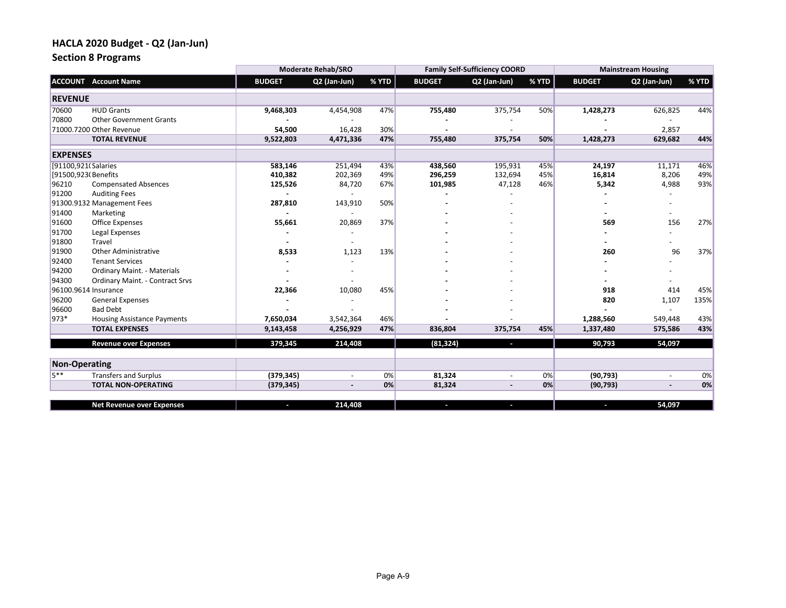## **Section 8 Programs**

|                      |                                        |               | <b>Moderate Rehab/SRO</b> |       |               | <b>Family Self-Sufficiency COORD</b> |       |               | <b>Mainstream Housing</b> |       |
|----------------------|----------------------------------------|---------------|---------------------------|-------|---------------|--------------------------------------|-------|---------------|---------------------------|-------|
|                      | <b>ACCOUNT</b> Account Name            | <b>BUDGET</b> | Q2 (Jan-Jun)              | % YTD | <b>BUDGET</b> | Q2 (Jan-Jun)                         | % YTD | <b>BUDGET</b> | Q2 (Jan-Jun)              | % YTD |
| <b>REVENUE</b>       |                                        |               |                           |       |               |                                      |       |               |                           |       |
| 70600                | <b>HUD Grants</b>                      | 9,468,303     | 4,454,908                 | 47%   | 755,480       | 375,754                              | 50%   | 1,428,273     | 626,825                   | 44%   |
| 70800                | <b>Other Government Grants</b>         |               |                           |       |               |                                      |       |               |                           |       |
|                      | 71000.7200 Other Revenue               | 54,500        | 16,428                    | 30%   |               |                                      |       |               | 2,857                     |       |
|                      | <b>TOTAL REVENUE</b>                   | 9,522,803     | 4,471,336                 | 47%   | 755,480       | 375,754                              | 50%   | 1,428,273     | 629,682                   | 44%   |
| <b>EXPENSES</b>      |                                        |               |                           |       |               |                                      |       |               |                           |       |
|                      | [91100,921(Salaries                    | 583,146       | 251,494                   | 43%   | 438,560       | 195,931                              | 45%   | 24,197        | 11,171                    | 46%   |
|                      | [91500,923(Benefits                    | 410,382       | 202,369                   | 49%   | 296,259       | 132,694                              | 45%   | 16,814        | 8,206                     | 49%   |
| 96210                | <b>Compensated Absences</b>            | 125,526       | 84,720                    | 67%   | 101,985       | 47,128                               | 46%   | 5,342         | 4,988                     | 93%   |
| 91200                | <b>Auditing Fees</b>                   |               |                           |       |               |                                      |       |               |                           |       |
|                      | 91300.9132 Management Fees             | 287,810       | 143,910                   | 50%   |               |                                      |       |               |                           |       |
| 91400                | Marketing                              |               | $\overline{\phantom{a}}$  |       |               |                                      |       |               |                           |       |
| 91600                | <b>Office Expenses</b>                 | 55,661        | 20,869                    | 37%   |               |                                      |       | 569           | 156                       | 27%   |
| 91700                | Legal Expenses                         |               |                           |       |               |                                      |       |               |                           |       |
| 91800                | Travel                                 |               |                           |       |               |                                      |       |               |                           |       |
| 91900                | <b>Other Administrative</b>            | 8,533         | 1,123                     | 13%   |               |                                      |       | 260           | 96                        | 37%   |
| 92400                | <b>Tenant Services</b>                 |               |                           |       |               |                                      |       |               |                           |       |
| 94200                | Ordinary Maint. - Materials            |               |                           |       |               |                                      |       |               |                           |       |
| 94300                | <b>Ordinary Maint. - Contract Srvs</b> |               |                           |       |               |                                      |       |               |                           |       |
|                      | 96100.9614 Insurance                   | 22,366        | 10,080                    | 45%   |               |                                      |       | 918           | 414                       | 45%   |
| 96200                | <b>General Expenses</b>                |               |                           |       |               |                                      |       | 820           | 1,107                     | 135%  |
| 96600                | <b>Bad Debt</b>                        |               |                           |       |               |                                      |       |               |                           |       |
| 973*                 | <b>Housing Assistance Payments</b>     | 7,650,034     | 3,542,364                 | 46%   |               |                                      |       | 1,288,560     | 549,448                   | 43%   |
|                      | <b>TOTAL EXPENSES</b>                  | 9,143,458     | 4,256,929                 | 47%   | 836,804       | 375,754                              | 45%   | 1,337,480     | 575,586                   | 43%   |
|                      | <b>Revenue over Expenses</b>           | 379,345       | 214,408                   |       | (81, 324)     | a.                                   |       | 90,793        | 54,097                    |       |
| <b>Non-Operating</b> |                                        |               |                           |       |               |                                      |       |               |                           |       |
| $5**$                | <b>Transfers and Surplus</b>           | (379, 345)    |                           | 0%    | 81,324        |                                      | 0%    | (90, 793)     |                           | 0%    |
|                      | <b>TOTAL NON-OPERATING</b>             | (379, 345)    |                           | 0%    | 81,324        |                                      | 0%    | (90, 793)     |                           | 0%    |
|                      |                                        |               |                           |       |               |                                      |       |               |                           |       |
|                      | <b>Net Revenue over Expenses</b>       | o.            | 214.408                   |       | Ī.            |                                      |       | ×.            | 54,097                    |       |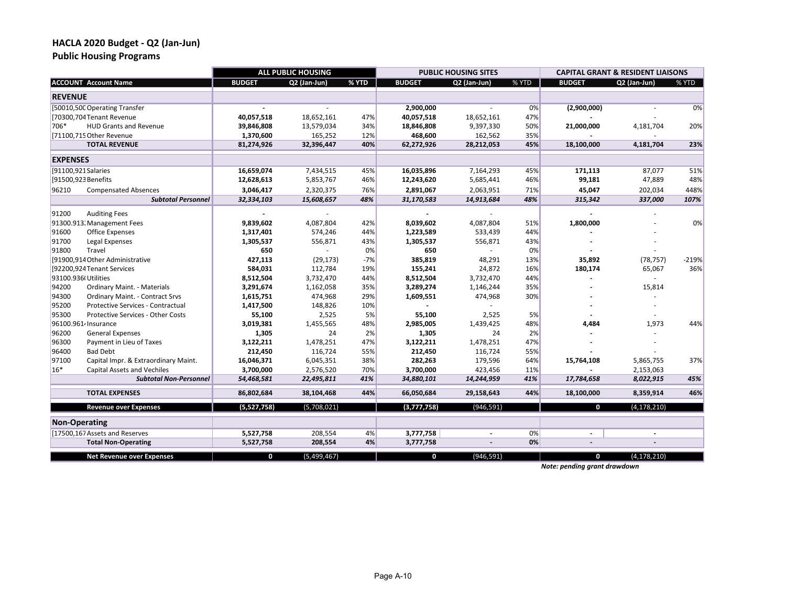**Public Housing Programs** 

|                 |                                      |               | <b>ALL PUBLIC HOUSING</b> |       |               | <b>PUBLIC HOUSING SITES</b> |       |               | <b>CAPITAL GRANT &amp; RESIDENT LIAISONS</b> |         |
|-----------------|--------------------------------------|---------------|---------------------------|-------|---------------|-----------------------------|-------|---------------|----------------------------------------------|---------|
|                 | <b>ACCOUNT Account Name</b>          | <b>BUDGET</b> | Q2 (Jan-Jun)              | % YTD | <b>BUDGET</b> | Q2 (Jan-Jun)                | % YTD | <b>BUDGET</b> | Q2 (Jan-Jun)                                 | % YTD   |
| <b>REVENUE</b>  |                                      |               |                           |       |               |                             |       |               |                                              |         |
|                 | [50010,500 Operating Transfer        |               |                           |       | 2,900,000     |                             | 0%    | (2,900,000)   |                                              | 0%      |
|                 | [70300,704 Tenant Revenue            | 40,057,518    | 18,652,161                | 47%   | 40,057,518    | 18,652,161                  | 47%   |               |                                              |         |
| 706*            | <b>HUD Grants and Revenue</b>        | 39,846,808    | 13,579,034                | 34%   | 18,846,808    | 9,397,330                   | 50%   | 21,000,000    | 4,181,704                                    | 20%     |
|                 | [71100,715 Other Revenue             | 1,370,600     | 165,252                   | 12%   | 468,600       | 162,562                     | 35%   |               |                                              |         |
|                 | <b>TOTAL REVENUE</b>                 | 81,274,926    | 32,396,447                | 40%   | 62,272,926    | 28,212,053                  | 45%   | 18,100,000    | 4,181,704                                    | 23%     |
| <b>EXPENSES</b> |                                      |               |                           |       |               |                             |       |               |                                              |         |
|                 | [91100,921 Salaries                  | 16,659,074    | 7,434,515                 | 45%   | 16,035,896    | 7,164,293                   | 45%   | 171,113       | 87,077                                       | 51%     |
|                 | [91500,923 Benefits                  | 12,628,613    | 5,853,767                 | 46%   | 12,243,620    | 5,685,441                   | 46%   | 99,181        | 47,889                                       | 48%     |
| 96210           | <b>Compensated Absences</b>          | 3,046,417     | 2,320,375                 | 76%   | 2,891,067     | 2,063,951                   | 71%   | 45,047        | 202,034                                      | 448%    |
|                 | <b>Subtotal Personnel</b>            | 32,334,103    | 15,608,657                | 48%   | 31,170,583    | 14,913,684                  | 48%   | 315,342       | 337,000                                      | 107%    |
| 91200           | <b>Auditing Fees</b>                 |               |                           |       |               |                             |       |               |                                              |         |
|                 | 91300.913. Management Fees           | 9,839,602     | 4,087,804                 | 42%   | 8,039,602     | 4,087,804                   | 51%   | 1,800,000     |                                              | 0%      |
| 91600           | <b>Office Expenses</b>               | 1,317,401     | 574,246                   | 44%   | 1,223,589     | 533,439                     | 44%   |               |                                              |         |
| 91700           | Legal Expenses                       | 1,305,537     | 556,871                   | 43%   | 1,305,537     | 556,871                     | 43%   |               |                                              |         |
| 91800           | Travel                               | 650           | $\sim$                    | 0%    | 650           | ÷.                          | 0%    |               |                                              |         |
|                 | [91900,914 Other Administrative      | 427,113       | (29, 173)                 | $-7%$ | 385,819       | 48,291                      | 13%   | 35,892        | (78, 757)                                    | $-219%$ |
|                 | [92200,924Tenant Services            | 584,031       | 112,784                   | 19%   | 155,241       | 24,872                      | 16%   | 180,174       | 65,067                                       | 36%     |
|                 | 93100.936(Utilities                  | 8,512,504     | 3,732,470                 | 44%   | 8,512,504     | 3,732,470                   | 44%   |               | $\sim$                                       |         |
| 94200           | Ordinary Maint. - Materials          | 3,291,674     | 1,162,058                 | 35%   | 3,289,274     | 1,146,244                   | 35%   |               | 15,814                                       |         |
| 94300           | Ordinary Maint. - Contract Srvs      | 1,615,751     | 474,968                   | 29%   | 1,609,551     | 474,968                     | 30%   |               |                                              |         |
| 95200           | Protective Services - Contractual    | 1,417,500     | 148,826                   | 10%   |               |                             |       |               |                                              |         |
| 95300           | Protective Services - Other Costs    | 55,100        | 2,525                     | 5%    | 55,100        | 2,525                       | 5%    |               |                                              |         |
|                 | 96100.961 <sup>2</sup> Insurance     | 3,019,381     | 1,455,565                 | 48%   | 2,985,005     | 1,439,425                   | 48%   | 4,484         | 1,973                                        | 44%     |
| 96200           | <b>General Expenses</b>              | 1,305         | 24                        | 2%    | 1,305         | 24                          | 2%    |               |                                              |         |
| 96300           | Payment in Lieu of Taxes             | 3,122,211     | 1,478,251                 | 47%   | 3,122,211     | 1,478,251                   | 47%   |               |                                              |         |
| 96400           | <b>Bad Debt</b>                      | 212,450       | 116,724                   | 55%   | 212,450       | 116,724                     | 55%   |               |                                              |         |
| 97100           | Capital Impr. & Extraordinary Maint. | 16,046,371    | 6,045,351                 | 38%   | 282,263       | 179,596                     | 64%   | 15,764,108    | 5,865,755                                    | 37%     |
| 16*             | <b>Capital Assets and Vechiles</b>   | 3,700,000     | 2,576,520                 | 70%   | 3,700,000     | 423,456                     | 11%   |               | 2,153,063                                    |         |
|                 | <b>Subtotal Non-Personnel</b>        | 54,468,581    | 22,495,811                | 41%   | 34,880,101    | 14,244,959                  | 41%   | 17,784,658    | 8,022,915                                    | 45%     |
|                 | <b>TOTAL EXPENSES</b>                | 86,802,684    | 38,104,468                | 44%   | 66,050,684    | 29,158,643                  | 44%   | 18,100,000    | 8,359,914                                    | 46%     |
|                 | <b>Revenue over Expenses</b>         | (5,527,758)   | (5,708,021)               |       | (3,777,758)   | (946, 591)                  |       | $\mathbf 0$   | (4, 178, 210)                                |         |
|                 | <b>Non-Operating</b>                 |               |                           |       |               |                             |       |               |                                              |         |
|                 | [17500,167 Assets and Reserves       | 5,527,758     | 208,554                   | 4%    | 3,777,758     | $\overline{a}$              | 0%    |               |                                              |         |
|                 | <b>Total Non-Operating</b>           | 5,527,758     | 208,554                   | 4%    | 3,777,758     |                             | 0%    |               |                                              |         |
|                 | <b>Net Revenue over Expenses</b>     | $\mathbf{0}$  | (5,499,467)               |       | 0             | (946, 591)                  |       | 0             | (4, 178, 210)                                |         |

*Note: pending grant drawdown*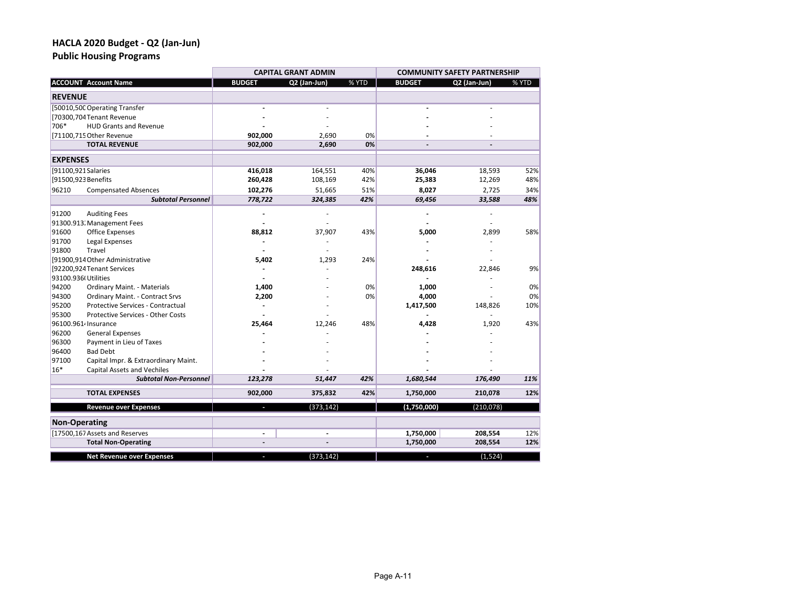**Public Housing Programs** 

|                      |                                          |                          | <b>CAPITAL GRANT ADMIN</b> |       | <b>COMMUNITY SAFETY PARTNERSHIP</b> |              |       |  |  |
|----------------------|------------------------------------------|--------------------------|----------------------------|-------|-------------------------------------|--------------|-------|--|--|
|                      | <b>ACCOUNT Account Name</b>              | <b>BUDGET</b>            | Q2 (Jan-Jun)               | % YTD | <b>BUDGET</b>                       | Q2 (Jan-Jun) | % YTD |  |  |
| <b>REVENUE</b>       |                                          |                          |                            |       |                                     |              |       |  |  |
|                      | [50010,500 Operating Transfer            |                          |                            |       |                                     |              |       |  |  |
|                      | [70300,704 Tenant Revenue                |                          |                            |       |                                     |              |       |  |  |
| 706*                 | <b>HUD Grants and Revenue</b>            |                          |                            |       |                                     |              |       |  |  |
|                      | [71100,715 Other Revenue                 | 902,000                  | 2,690                      | 0%    |                                     |              |       |  |  |
|                      | <b>TOTAL REVENUE</b>                     | 902,000                  | 2,690                      | 0%    |                                     |              |       |  |  |
| <b>EXPENSES</b>      |                                          |                          |                            |       |                                     |              |       |  |  |
| [91100,921 Salaries  |                                          | 416,018                  | 164,551                    | 40%   | 36,046                              | 18,593       | 52%   |  |  |
| [91500,923 Benefits  |                                          | 260,428                  | 108,169                    | 42%   | 25,383                              | 12,269       | 48%   |  |  |
| 96210                | <b>Compensated Absences</b>              | 102,276                  | 51,665                     | 51%   | 8,027                               | 2,725        | 34%   |  |  |
|                      | <b>Subtotal Personnel</b>                | 778,722                  | 324,385                    | 42%   | 69,456                              | 33,588       | 48%   |  |  |
| 91200                | <b>Auditing Fees</b>                     |                          |                            |       |                                     |              |       |  |  |
|                      | 91300.913. Management Fees               |                          |                            |       |                                     |              |       |  |  |
| 91600                | <b>Office Expenses</b>                   | 88,812                   | 37,907                     | 43%   | 5,000                               | 2,899        | 58%   |  |  |
| 91700                | Legal Expenses                           |                          |                            |       |                                     |              |       |  |  |
| 91800                | Travel                                   |                          |                            |       |                                     |              |       |  |  |
|                      | [91900,914 Other Administrative          | 5,402                    | 1,293                      | 24%   |                                     |              |       |  |  |
|                      | [92200,924Tenant Services                |                          |                            |       | 248,616                             | 22,846       | 9%    |  |  |
| 93100.936(Utilities  |                                          |                          |                            |       |                                     |              |       |  |  |
| 94200                | Ordinary Maint. - Materials              | 1,400                    |                            | 0%    | 1,000                               |              | 0%    |  |  |
| 94300                | <b>Ordinary Maint. - Contract Srvs</b>   | 2,200                    |                            | 0%    | 4,000                               |              | 0%    |  |  |
| 95200                | Protective Services - Contractual        |                          |                            |       | 1,417,500                           | 148,826      | 10%   |  |  |
| 95300                | <b>Protective Services - Other Costs</b> |                          |                            |       |                                     |              |       |  |  |
|                      | 96100.961 <sup>2</sup> Insurance         | 25,464                   | 12,246                     | 48%   | 4,428                               | 1,920        | 43%   |  |  |
| 96200                | <b>General Expenses</b>                  |                          |                            |       |                                     |              |       |  |  |
| 96300                | Payment in Lieu of Taxes                 |                          |                            |       |                                     |              |       |  |  |
| 96400                | <b>Bad Debt</b>                          |                          |                            |       |                                     |              |       |  |  |
| 97100                | Capital Impr. & Extraordinary Maint.     |                          |                            |       |                                     |              |       |  |  |
| 16*                  | <b>Capital Assets and Vechiles</b>       |                          |                            |       |                                     |              |       |  |  |
|                      | <b>Subtotal Non-Personnel</b>            | 123,278                  | 51,447                     | 42%   | 1,680,544                           | 176,490      | 11%   |  |  |
|                      | <b>TOTAL EXPENSES</b>                    | 902,000                  | 375,832                    | 42%   | 1,750,000                           | 210,078      | 12%   |  |  |
|                      | <b>Revenue over Expenses</b>             |                          | (373, 142)                 |       | (1,750,000)                         | (210, 078)   |       |  |  |
| <b>Non-Operating</b> |                                          |                          |                            |       |                                     |              |       |  |  |
|                      | [17500,167 Assets and Reserves           |                          | ÷,                         |       | 1,750,000                           | 208,554      | 12%   |  |  |
|                      | <b>Total Non-Operating</b>               | $\overline{\phantom{a}}$ | $\overline{a}$             |       | 1,750,000                           | 208,554      | 12%   |  |  |
|                      | <b>Net Revenue over Expenses</b>         | ٠                        | (373, 142)                 |       | r.                                  | (1,524)      |       |  |  |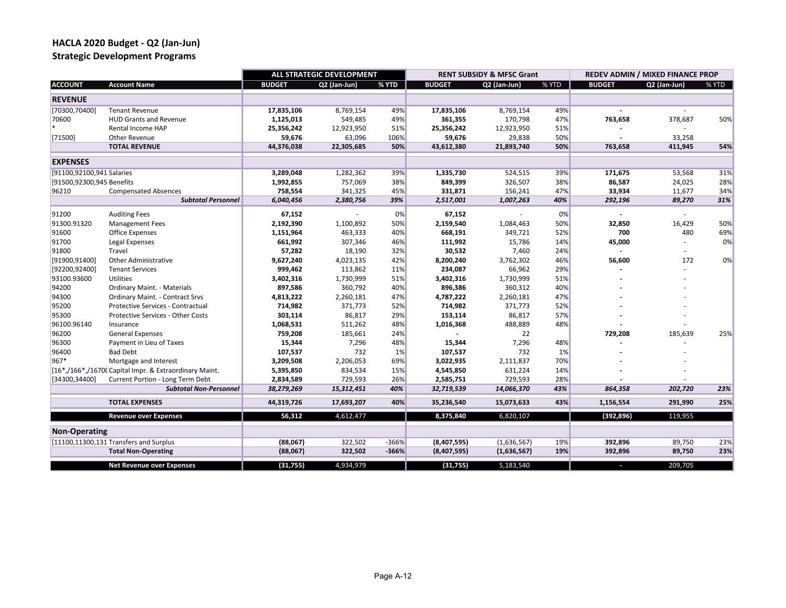**Strategic Development Programs**

|                           |                                                        |               | ALL STRATEGIC DEVELOPMENT |         |               | <b>RENT SUBSIDY &amp; MFSC Grant</b> |       |               | REDEV ADMIN / MIXED FINANCE PROP |       |
|---------------------------|--------------------------------------------------------|---------------|---------------------------|---------|---------------|--------------------------------------|-------|---------------|----------------------------------|-------|
| <b>ACCOUNT</b>            | <b>Account Name</b>                                    | <b>BUDGET</b> | Q2 (Jan-Jun)              | % YTD   | <b>BUDGET</b> | Q2 (Jan-Jun)                         | % YTD | <b>BUDGET</b> | Q2 (Jan-Jun)                     | % YTD |
| <b>REVENUE</b>            |                                                        |               |                           |         |               |                                      |       |               |                                  |       |
| [70300,70400]             | <b>Tenant Revenue</b>                                  | 17,835,106    | 8,769,154                 | 49%     | 17,835,106    | 8,769,154                            | 49%   |               |                                  |       |
| 70600                     | <b>HUD Grants and Revenue</b>                          | 1,125,013     | 549,485                   | 49%     | 361,355       | 170,798                              | 47%   | 763,658       | 378,687                          | 50%   |
|                           | Rental Income HAP                                      | 25,356,242    | 12,923,950                | 51%     | 25,356,242    | 12,923,950                           | 51%   |               |                                  |       |
| [71500]                   | Other Revenue                                          | 59,676        | 63,096                    | 106%    | 59,676        | 29,838                               | 50%   |               | 33,258                           |       |
|                           | <b>TOTAL REVENUE</b>                                   | 44,376,038    | 22,305,685                | 50%     | 43,612,380    | 21,893,740                           | 50%   | 763,658       | 411,945                          | 54%   |
| <b>EXPENSES</b>           |                                                        |               |                           |         |               |                                      |       |               |                                  |       |
| [91100,92100,941 Salaries |                                                        | 3,289,048     | 1,282,362                 | 39%     | 1,335,730     | 524,515                              | 39%   | 171,675       | 53,568                           | 31%   |
| [91500,92300,945 Benefits |                                                        | 1,992,855     | 757,069                   | 38%     | 849,399       | 326,507                              | 38%   | 86,587        | 24,025                           | 28%   |
| 96210                     | <b>Compensated Absences</b>                            | 758,554       | 341,325                   | 45%     | 331,871       | 156,241                              | 47%   | 33,934        | 11,677                           | 34%   |
|                           | <b>Subtotal Personnel</b>                              | 6,040,456     | 2,380,756                 | 39%     | 2,517,001     | 1,007,263                            | 40%   | 292,196       | 89,270                           | 31%   |
| 91200                     | <b>Auditing Fees</b>                                   | 67,152        |                           | 0%      | 67,152        |                                      | 0%    |               |                                  |       |
| 91300.91320               | <b>Management Fees</b>                                 | 2,192,390     | 1,100,892                 | 50%     | 2,159,540     | 1,084,463                            | 50%   | 32,850        | 16,429                           | 50%   |
| 91600                     | <b>Office Expenses</b>                                 | 1,151,964     | 463,333                   | 40%     | 668,191       | 349,721                              | 52%   | 700           | 480                              | 69%   |
| 91700                     | Legal Expenses                                         | 661,992       | 307,346                   | 46%     | 111,992       | 15,786                               | 14%   | 45,000        |                                  | 0%    |
| 91800                     | Travel                                                 | 57,282        | 18,190                    | 32%     | 30,532        | 7,460                                | 24%   |               |                                  |       |
| [91900,91400]             | <b>Other Administrative</b>                            | 9,627,240     | 4,023,135                 | 42%     | 8,200,240     | 3,762,302                            | 46%   | 56,600        | 172                              | 0%    |
| [92200,92400]             | <b>Tenant Services</b>                                 | 999,462       | 113,862                   | 11%     | 234,087       | 66,962                               | 29%   |               |                                  |       |
| 93100.93600               | <b>Utilities</b>                                       | 3,402,316     | 1,730,999                 | 51%     | 3,402,316     | 1,730,999                            | 51%   |               |                                  |       |
| 94200                     | Ordinary Maint. - Materials                            | 897,586       | 360,792                   | 40%     | 896,386       | 360,312                              | 40%   |               |                                  |       |
| 94300                     | Ordinary Maint. - Contract Srvs                        | 4,813,222     | 2,260,181                 | 47%     | 4,787,222     | 2,260,181                            | 47%   |               |                                  |       |
| 95200                     | Protective Services - Contractual                      | 714,982       | 371,773                   | 52%     | 714,982       | 371,773                              | 52%   |               |                                  |       |
| 95300                     | <b>Protective Services - Other Costs</b>               | 303,114       | 86,817                    | 29%     | 153,114       | 86,817                               | 57%   |               |                                  |       |
| 96100.96140               | Insurance                                              | 1,068,531     | 511,262                   | 48%     | 1,016,368     | 488,889                              | 48%   |               |                                  |       |
| 96200                     | <b>General Expenses</b>                                | 759,208       | 185,661                   | 24%     |               | 22                                   |       | 729,208       | 185,639                          | 25%   |
| 96300                     | Payment in Lieu of Taxes                               | 15,344        | 7,296                     | 48%     | 15,344        | 7,296                                | 48%   |               |                                  |       |
| 96400                     | <b>Bad Debt</b>                                        | 107,537       | 732                       | 1%      | 107,537       | 732                                  | 1%    |               |                                  |       |
| 967*                      | Mortgage and Interest                                  | 3,209,508     | 2,206,053                 | 69%     | 3,022,935     | 2,111,837                            | 70%   |               |                                  |       |
|                           | [16*,/166*,/16700 Capital Impr. & Extraordinary Maint. | 5,395,850     | 834,534                   | 15%     | 4,545,850     | 631,224                              | 14%   |               |                                  |       |
| [34300,34400]             | Current Portion - Long Term Debt                       | 2,834,589     | 729,593                   | 26%     | 2,585,751     | 729,593                              | 28%   |               |                                  |       |
|                           | <b>Subtotal Non-Personnel</b>                          | 38,279,269    | 15,312,451                | 40%     | 32,719,539    | 14,066,370                           | 43%   | 864,358       | 202,720                          | 23%   |
|                           | <b>TOTAL EXPENSES</b>                                  | 44,319,726    | 17,693,207                | 40%     | 35,236,540    | 15,073,633                           | 43%   | 1,156,554     | 291,990                          | 25%   |
|                           | <b>Revenue over Expenses</b>                           | 56,312        | 4,612,477                 |         | 8,375,840     | 6,820,107                            |       | (392, 896)    | 119,955                          |       |
| <b>Non-Operating</b>      |                                                        |               |                           |         |               |                                      |       |               |                                  |       |
|                           | [11100,11300,131 Transfers and Surplus                 | (88,067)      | 322,502                   | $-366%$ | (8,407,595)   | (1,636,567)                          | 19%   | 392,896       | 89,750                           | 23%   |
|                           | <b>Total Non-Operating</b>                             | (88,067)      | 322,502                   | $-366%$ | (8,407,595)   | (1,636,567)                          | 19%   | 392,896       | 89,750                           | 23%   |
|                           |                                                        |               |                           |         |               |                                      |       |               |                                  |       |
|                           | <b>Net Revenue over Expenses</b>                       | (31, 755)     | 4,934,979                 |         | (31, 755)     | 5,183,540                            |       |               | 209,705                          |       |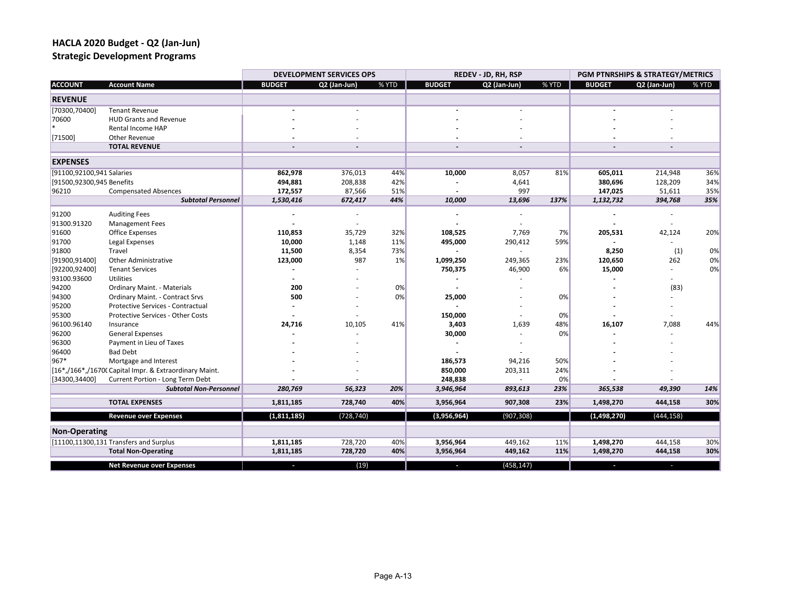**Strategic Development Programs**

|                              |                                                                              | <b>DEVELOPMENT SERVICES OPS</b> |                          | REDEV - JD, RH, RSP |               |                | PGM PTNRSHIPS & STRATEGY/METRICS |               |              |          |
|------------------------------|------------------------------------------------------------------------------|---------------------------------|--------------------------|---------------------|---------------|----------------|----------------------------------|---------------|--------------|----------|
| <b>ACCOUNT</b>               | <b>Account Name</b>                                                          | <b>BUDGET</b>                   | Q2 (Jan-Jun)             | % YTD               | <b>BUDGET</b> | Q2 (Jan-Jun)   | % YTD                            | <b>BUDGET</b> | Q2 (Jan-Jun) | % YTD    |
| <b>REVENUE</b>               |                                                                              |                                 |                          |                     |               |                |                                  |               |              |          |
| [70300,70400]                | <b>Tenant Revenue</b>                                                        |                                 |                          |                     |               |                |                                  |               |              |          |
| 70600                        | <b>HUD Grants and Revenue</b>                                                |                                 |                          |                     |               |                |                                  |               |              |          |
| $\star$                      | Rental Income HAP                                                            |                                 |                          |                     |               |                |                                  |               |              |          |
| [71500]                      | Other Revenue                                                                |                                 |                          |                     |               |                |                                  |               |              |          |
|                              | <b>TOTAL REVENUE</b>                                                         |                                 | $\overline{\phantom{a}}$ |                     |               | $\overline{a}$ |                                  |               |              |          |
| <b>EXPENSES</b>              |                                                                              |                                 |                          |                     |               |                |                                  |               |              |          |
| [91100,92100,941 Salaries    |                                                                              | 862,978                         | 376,013                  | 44%                 | 10,000        | 8,057          | 81%                              | 605,011       | 214,948      | 36%      |
| [91500,92300,945 Benefits    |                                                                              | 494,881                         | 208,838                  | 42%                 |               | 4,641          |                                  | 380,696       | 128,209      | 34%      |
| 96210                        | <b>Compensated Absences</b>                                                  | 172,557                         | 87,566                   | 51%                 |               | 997            |                                  | 147,025       | 51,611       | 35%      |
|                              | <b>Subtotal Personnel</b>                                                    | 1,530,416                       | 672,417                  | 44%                 | 10,000        | 13,696         | 137%                             | 1,132,732     | 394,768      | 35%      |
|                              |                                                                              |                                 |                          |                     |               |                |                                  |               |              |          |
| 91200<br>91300.91320         | <b>Auditing Fees</b><br><b>Management Fees</b>                               |                                 |                          |                     |               |                |                                  |               |              |          |
| 91600                        |                                                                              |                                 | 35,729                   | 32%                 | 108,525       | 7,769          |                                  | 205,531       | 42,124       | 20%      |
|                              | Office Expenses                                                              | 110,853                         |                          | 11%                 |               |                | 7%<br>59%                        |               |              |          |
| 91700                        | Legal Expenses<br>Travel                                                     | 10,000                          | 1,148                    |                     | 495,000       | 290,412        |                                  |               |              |          |
| 91800                        |                                                                              | 11,500                          | 8,354                    | 73%                 |               |                |                                  | 8,250         | (1)          | 0%       |
| [91900,91400]                | <b>Other Administrative</b>                                                  | 123,000                         | 987                      | 1%                  | 1,099,250     | 249,365        | 23%                              | 120,650       | 262<br>÷.    | 0%<br>0% |
| [92200,92400]<br>93100.93600 | <b>Tenant Services</b>                                                       |                                 |                          |                     | 750,375       | 46,900         | 6%                               | 15,000        |              |          |
| 94200                        | Utilities                                                                    |                                 |                          | 0%                  |               |                |                                  |               |              |          |
| 94300                        | <b>Ordinary Maint. - Materials</b><br><b>Ordinary Maint. - Contract Srvs</b> | 200<br>500                      |                          | 0%                  | 25,000        |                | 0%                               |               | (83)         |          |
| 95200                        | Protective Services - Contractual                                            |                                 |                          |                     |               |                |                                  |               |              |          |
| 95300                        | Protective Services - Other Costs                                            |                                 |                          |                     | 150,000       |                | 0%                               |               |              |          |
| 96100.96140                  | Insurance                                                                    | 24,716                          |                          | 41%                 | 3,403         |                | 48%                              | 16,107        | 7,088        | 44%      |
|                              | <b>General Expenses</b>                                                      |                                 | 10,105                   |                     | 30,000        | 1,639          | 0%                               |               |              |          |
| 96200                        | Payment in Lieu of Taxes                                                     |                                 |                          |                     |               |                |                                  |               |              |          |
| 96300<br>96400               | <b>Bad Debt</b>                                                              |                                 |                          |                     |               |                |                                  |               |              |          |
| 967*                         | Mortgage and Interest                                                        |                                 |                          |                     | 186,573       | 94,216         | 50%                              |               |              |          |
|                              | [16*,/166*,/16700 Capital Impr. & Extraordinary Maint.                       |                                 |                          |                     | 850,000       | 203,311        | 24%                              |               |              |          |
| [34300,34400]                | Current Portion - Long Term Debt                                             |                                 |                          |                     | 248,838       | ä,             | 0%                               |               |              |          |
|                              | <b>Subtotal Non-Personnel</b>                                                | 280,769                         | 56,323                   | 20%                 | 3,946,964     | 893,613        | 23%                              | 365,538       | 49,390       | 14%      |
|                              | <b>TOTAL EXPENSES</b>                                                        | 1,811,185                       | 728,740                  | 40%                 | 3,956,964     | 907,308        | 23%                              | 1,498,270     | 444,158      | 30%      |
|                              |                                                                              |                                 |                          |                     |               |                |                                  |               |              |          |
|                              | <b>Revenue over Expenses</b>                                                 | (1,811,185)                     | (728, 740)               |                     | (3,956,964)   | (907, 308)     |                                  | (1,498,270)   | (444, 158)   |          |
| <b>Non-Operating</b>         |                                                                              |                                 |                          |                     |               |                |                                  |               |              |          |
|                              | [11100,11300,131 Transfers and Surplus                                       | 1,811,185                       | 728,720                  | 40%                 | 3,956,964     | 449,162        | 11%                              | 1,498,270     | 444,158      | 30%      |
|                              | <b>Total Non-Operating</b>                                                   | 1,811,185                       | 728,720                  | 40%                 | 3,956,964     | 449,162        | 11%                              | 1,498,270     | 444,158      | 30%      |
|                              | <b>Net Revenue over Expenses</b>                                             |                                 | (19)                     |                     |               | (458, 147)     |                                  |               |              |          |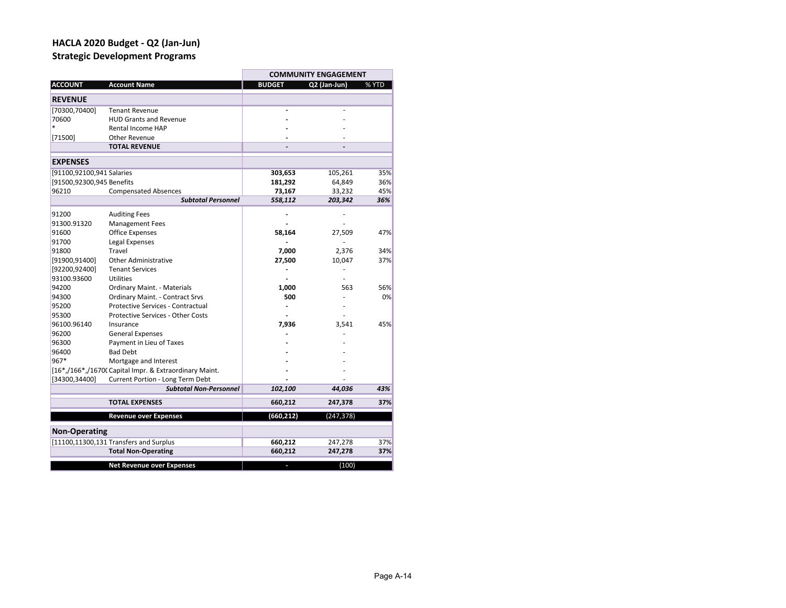## **HACLA 2020 Budget ‐ Q2 (Jan‐Jun) Strategic Development Programs**

|                           |                                                        |               | <b>COMMUNITY ENGAGEMENT</b> |       |
|---------------------------|--------------------------------------------------------|---------------|-----------------------------|-------|
| <b>ACCOUNT</b>            | <b>Account Name</b>                                    | <b>BUDGET</b> | Q2 (Jan-Jun)                | % YTD |
| <b>REVENUE</b>            |                                                        |               |                             |       |
| [70300,70400]             | <b>Tenant Revenue</b>                                  |               |                             |       |
| 70600                     | <b>HUD Grants and Revenue</b>                          |               |                             |       |
| $\ast$                    | Rental Income HAP                                      |               |                             |       |
| [71500]                   | <b>Other Revenue</b>                                   |               |                             |       |
|                           | <b>TOTAL REVENUE</b>                                   |               |                             |       |
| <b>EXPENSES</b>           |                                                        |               |                             |       |
| [91100,92100,941 Salaries |                                                        | 303,653       | 105,261                     | 35%   |
| [91500,92300,945 Benefits |                                                        | 181,292       | 64,849                      | 36%   |
| 96210                     | <b>Compensated Absences</b>                            | 73,167        | 33,232                      | 45%   |
|                           | <b>Subtotal Personnel</b>                              | 558,112       | 203,342                     | 36%   |
| 91200                     | <b>Auditing Fees</b>                                   |               |                             |       |
| 91300.91320               | <b>Management Fees</b>                                 |               |                             |       |
| 91600                     | <b>Office Expenses</b>                                 | 58,164        | 27,509                      | 47%   |
| 91700                     | Legal Expenses                                         |               |                             |       |
| 91800                     | Travel                                                 | 7,000         | 2,376                       | 34%   |
| [91900,91400]             | <b>Other Administrative</b>                            | 27,500        | 10,047                      | 37%   |
| [92200,92400]             | <b>Tenant Services</b>                                 |               |                             |       |
| 93100.93600               | Utilities                                              |               |                             |       |
| 94200                     | <b>Ordinary Maint. - Materials</b>                     | 1,000         | 563                         | 56%   |
| 94300                     | Ordinary Maint. - Contract Srvs                        | 500           |                             | 0%    |
| 95200                     | <b>Protective Services - Contractual</b>               |               |                             |       |
| 95300                     | <b>Protective Services - Other Costs</b>               |               |                             |       |
| 96100.96140               | Insurance                                              | 7,936         | 3,541                       | 45%   |
| 96200                     | <b>General Expenses</b>                                |               |                             |       |
| 96300                     | Payment in Lieu of Taxes                               |               |                             |       |
| 96400                     | <b>Bad Debt</b>                                        |               |                             |       |
| 967*                      | Mortgage and Interest                                  |               |                             |       |
|                           | [16*,/166*,/16700 Capital Impr. & Extraordinary Maint. |               |                             |       |
| [34300,34400]             | Current Portion - Long Term Debt                       |               |                             |       |
|                           | <b>Subtotal Non-Personnel</b>                          | 102,100       | 44,036                      | 43%   |
|                           | <b>TOTAL EXPENSES</b>                                  | 660,212       | 247,378                     | 37%   |
|                           | <b>Revenue over Expenses</b>                           | (660, 212)    | (247, 378)                  |       |
| <b>Non-Operating</b>      |                                                        |               |                             |       |
|                           | [11100,11300,131 Transfers and Surplus                 | 660,212       | 247,278                     | 37%   |
|                           | <b>Total Non-Operating</b>                             | 660,212       | 247,278                     | 37%   |
|                           |                                                        |               |                             |       |
|                           | <b>Net Revenue over Expenses</b>                       |               | (100)                       |       |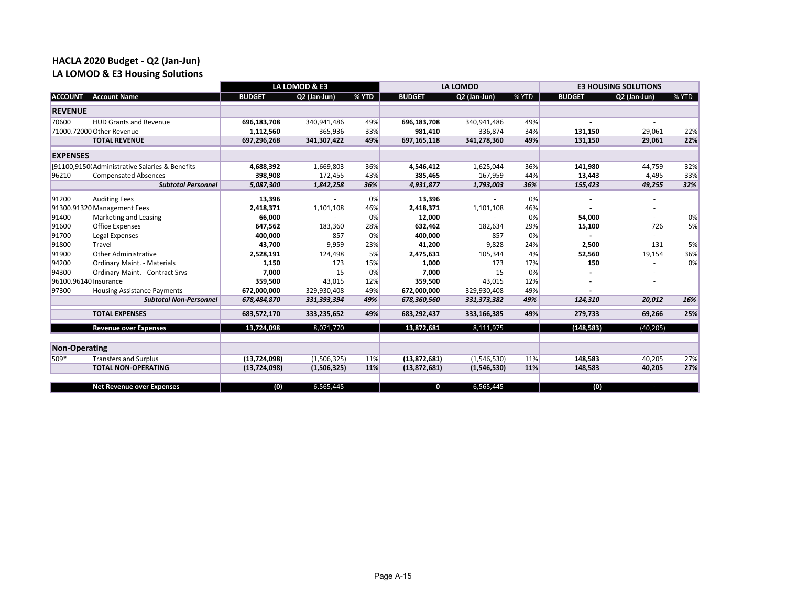### **HACLA 2020 Budget ‐ Q2 (Jan‐Jun) LA LOMOD & E3 Housing Solutions**

|                      |                                                | LA LOMOD & E3  |              |       |               | <b>LA LOMOD</b> |       | <b>E3 HOUSING SOLUTIONS</b> |              |       |
|----------------------|------------------------------------------------|----------------|--------------|-------|---------------|-----------------|-------|-----------------------------|--------------|-------|
| <b>ACCOUNT</b>       | <b>Account Name</b>                            | <b>BUDGET</b>  | Q2 (Jan-Jun) | % YTD | <b>BUDGET</b> | Q2 (Jan-Jun)    | % YTD | <b>BUDGET</b>               | Q2 (Jan-Jun) | % YTD |
| <b>REVENUE</b>       |                                                |                |              |       |               |                 |       |                             |              |       |
| 70600                | <b>HUD Grants and Revenue</b>                  | 696,183,708    | 340,941,486  | 49%   | 696,183,708   | 340,941,486     | 49%   |                             |              |       |
|                      | 71000.72000 Other Revenue                      | 1,112,560      | 365,936      | 33%   | 981,410       | 336,874         | 34%   | 131,150                     | 29,061       | 22%   |
|                      | <b>TOTAL REVENUE</b>                           | 697,296,268    | 341,307,422  | 49%   | 697,165,118   | 341,278,360     | 49%   | 131,150                     | 29,061       | 22%   |
| <b>EXPENSES</b>      |                                                |                |              |       |               |                 |       |                             |              |       |
|                      | [91100,9150(Administrative Salaries & Benefits | 4,688,392      | 1,669,803    | 36%   | 4,546,412     | 1,625,044       | 36%   | 141,980                     | 44,759       | 32%   |
| 96210                | <b>Compensated Absences</b>                    | 398,908        | 172,455      | 43%   | 385,465       | 167,959         | 44%   | 13,443                      | 4,495        | 33%   |
|                      | <b>Subtotal Personnel</b>                      | 5,087,300      | 1,842,258    | 36%   | 4,931,877     | 1,793,003       | 36%   | 155,423                     | 49,255       | 32%   |
| 91200                | <b>Auditing Fees</b>                           | 13,396         |              | 0%    | 13,396        |                 | 0%    |                             |              |       |
|                      | 91300.91320 Management Fees                    | 2,418,371      | 1,101,108    | 46%   | 2,418,371     | 1,101,108       | 46%   |                             |              |       |
| 91400                | Marketing and Leasing                          | 66,000         |              | 0%    | 12,000        |                 | 0%    | 54,000                      |              | 0%    |
| 91600                | <b>Office Expenses</b>                         | 647,562        | 183,360      | 28%   | 632,462       | 182,634         | 29%   | 15,100                      | 726          | 5%    |
| 91700                | Legal Expenses                                 | 400,000        | 857          | 0%    | 400,000       | 857             | 0%    |                             |              |       |
| 91800                | Travel                                         | 43,700         | 9,959        | 23%   | 41,200        | 9,828           | 24%   | 2,500                       | 131          | 5%    |
| 91900                | Other Administrative                           | 2,528,191      | 124,498      | 5%    | 2,475,631     | 105,344         | 4%    | 52,560                      | 19,154       | 36%   |
| 94200                | <b>Ordinary Maint. - Materials</b>             | 1,150          | 173          | 15%   | 1,000         | 173             | 17%   | 150                         |              | 0%    |
| 94300                | <b>Ordinary Maint. - Contract Srvs</b>         | 7,000          | 15           | 0%    | 7,000         | 15              | 0%    |                             |              |       |
|                      | 96100.96140 Insurance                          | 359,500        | 43,015       | 12%   | 359,500       | 43,015          | 12%   |                             |              |       |
| 97300                | <b>Housing Assistance Payments</b>             | 672,000,000    | 329,930,408  | 49%   | 672,000,000   | 329,930,408     | 49%   |                             |              |       |
|                      | <b>Subtotal Non-Personnel</b>                  | 678,484,870    | 331,393,394  | 49%   | 678,360,560   | 331, 373, 382   | 49%   | 124,310                     | 20,012       | 16%   |
|                      | <b>TOTAL EXPENSES</b>                          | 683,572,170    | 333,235,652  | 49%   | 683,292,437   | 333,166,385     | 49%   | 279,733                     | 69,266       | 25%   |
|                      | <b>Revenue over Expenses</b>                   | 13,724,098     | 8,071,770    |       | 13,872,681    | 8,111,975       |       | (148, 583)                  | (40, 205)    |       |
|                      |                                                |                |              |       |               |                 |       |                             |              |       |
| <b>Non-Operating</b> |                                                |                |              |       |               |                 |       |                             |              |       |
| 509*                 | <b>Transfers and Surplus</b>                   | (13, 724, 098) | (1,506,325)  | 11%   | (13,872,681)  | (1,546,530)     | 11%   | 148,583                     | 40,205       | 27%   |
|                      | <b>TOTAL NON-OPERATING</b>                     | (13, 724, 098) | (1,506,325)  | 11%   | (13,872,681)  | (1,546,530)     | 11%   | 148,583                     | 40,205       | 27%   |
|                      |                                                |                |              |       |               |                 |       |                             |              |       |
|                      | <b>Net Revenue over Expenses</b>               | (0)            | 6,565,445    |       | 0             | 6,565,445       |       | (0)                         | н            |       |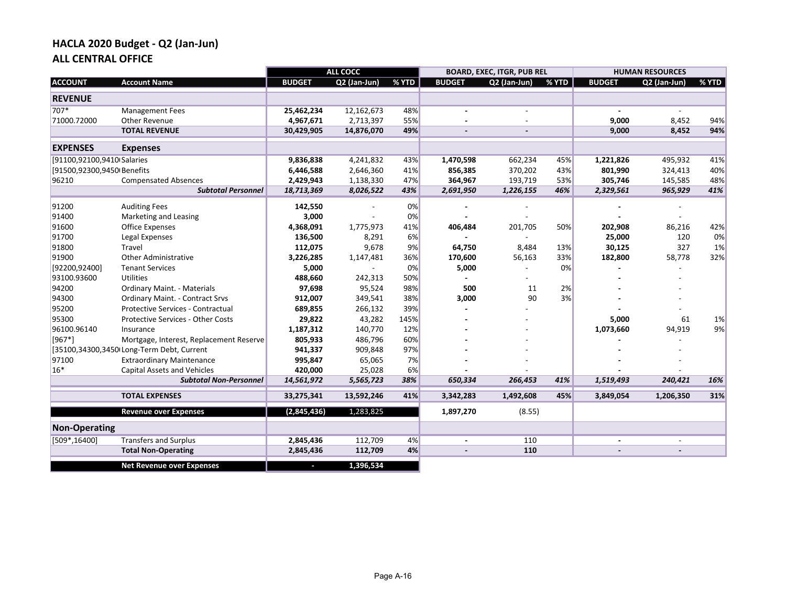## **HACLA 2020 Budget ‐ Q2 (Jan‐Jun) ALL CENTRAL OFFICE**

|                            |                                           |               | <b>ALL COCC</b> |       |               | <b>BOARD, EXEC, ITGR, PUB REL</b> |       |               | <b>HUMAN RESOURCES</b> |       |
|----------------------------|-------------------------------------------|---------------|-----------------|-------|---------------|-----------------------------------|-------|---------------|------------------------|-------|
| <b>ACCOUNT</b>             | <b>Account Name</b>                       | <b>BUDGET</b> | Q2 (Jan-Jun)    | % YTD | <b>BUDGET</b> | Q2 (Jan-Jun)                      | % YTD | <b>BUDGET</b> | Q2 (Jan-Jun)           | % YTD |
| <b>REVENUE</b>             |                                           |               |                 |       |               |                                   |       |               |                        |       |
| 707*                       | <b>Management Fees</b>                    | 25,462,234    | 12,162,673      | 48%   |               |                                   |       |               |                        |       |
| 71000.72000                | Other Revenue                             | 4,967,671     | 2,713,397       | 55%   |               |                                   |       | 9,000         | 8,452                  | 94%   |
|                            | <b>TOTAL REVENUE</b>                      | 30,429,905    | 14,876,070      | 49%   |               |                                   |       | 9,000         | 8,452                  | 94%   |
| <b>EXPENSES</b>            | <b>Expenses</b>                           |               |                 |       |               |                                   |       |               |                        |       |
| [91100,92100,9410 Salaries |                                           | 9,836,838     | 4,241,832       | 43%   | 1,470,598     | 662,234                           | 45%   | 1,221,826     | 495,932                | 41%   |
| [91500,92300,9450 Benefits |                                           | 6,446,588     | 2,646,360       | 41%   | 856,385       | 370,202                           | 43%   | 801,990       | 324,413                | 40%   |
| 96210                      | <b>Compensated Absences</b>               | 2,429,943     | 1,138,330       | 47%   | 364,967       | 193,719                           | 53%   | 305,746       | 145,585                | 48%   |
|                            | <b>Subtotal Personnel</b>                 | 18,713,369    | 8,026,522       | 43%   | 2,691,950     | 1,226,155                         | 46%   | 2,329,561     | 965,929                | 41%   |
| 91200                      | <b>Auditing Fees</b>                      | 142,550       |                 | 0%    |               |                                   |       |               |                        |       |
| 91400                      | Marketing and Leasing                     | 3,000         |                 | 0%    |               |                                   |       |               |                        |       |
| 91600                      | Office Expenses                           | 4,368,091     | 1,775,973       | 41%   | 406,484       | 201,705                           | 50%   | 202,908       | 86,216                 | 42%   |
| 91700                      | Legal Expenses                            | 136,500       | 8,291           | 6%    |               |                                   |       | 25,000        | 120                    | 0%    |
| 91800                      | Travel                                    | 112,075       | 9,678           | 9%    | 64,750        | 8,484                             | 13%   | 30,125        | 327                    | 1%    |
| 91900                      | <b>Other Administrative</b>               | 3,226,285     | 1,147,481       | 36%   | 170,600       | 56,163                            | 33%   | 182,800       | 58,778                 | 32%   |
| [92200,92400]              | <b>Tenant Services</b>                    | 5,000         |                 | 0%    | 5,000         |                                   | 0%    |               |                        |       |
| 93100.93600                | Utilities                                 | 488,660       | 242,313         | 50%   |               |                                   |       |               |                        |       |
| 94200                      | Ordinary Maint. - Materials               | 97,698        | 95,524          | 98%   | 500           | 11                                | 2%    |               |                        |       |
| 94300                      | <b>Ordinary Maint. - Contract Srvs</b>    | 912,007       | 349,541         | 38%   | 3,000         | 90                                | 3%    |               |                        |       |
| 95200                      | Protective Services - Contractual         | 689,855       | 266,132         | 39%   |               |                                   |       |               |                        |       |
| 95300                      | <b>Protective Services - Other Costs</b>  | 29,822        | 43,282          | 145%  |               |                                   |       | 5,000         | 61                     | 1%    |
| 96100.96140                | Insurance                                 | 1,187,312     | 140,770         | 12%   |               |                                   |       | 1,073,660     | 94,919                 | 9%    |
| $[967*]$                   | Mortgage, Interest, Replacement Reserve   | 805,933       | 486,796         | 60%   |               |                                   |       |               |                        |       |
|                            | [35100,34300,3450 Long-Term Debt, Current | 941,337       | 909,848         | 97%   |               |                                   |       |               |                        |       |
| 97100                      | <b>Extraordinary Maintenance</b>          | 995,847       | 65,065          | 7%    |               |                                   |       |               |                        |       |
| $16*$                      | <b>Capital Assets and Vehicles</b>        | 420,000       | 25,028          | 6%    |               |                                   |       |               |                        |       |
|                            | <b>Subtotal Non-Personnel</b>             | 14,561,972    | 5,565,723       | 38%   | 650,334       | 266,453                           | 41%   | 1,519,493     | 240,421                | 16%   |
|                            | <b>TOTAL EXPENSES</b>                     | 33,275,341    | 13,592,246      | 41%   | 3,342,283     | 1,492,608                         | 45%   | 3,849,054     | 1,206,350              | 31%   |
|                            | <b>Revenue over Expenses</b>              | (2,845,436)   | 1,283,825       |       | 1,897,270     | (8.55)                            |       |               |                        |       |
| <b>Non-Operating</b>       |                                           |               |                 |       |               |                                   |       |               |                        |       |
| $[509*, 16400]$            | <b>Transfers and Surplus</b>              | 2,845,436     | 112,709         | 4%    |               | 110                               |       |               |                        |       |
|                            | <b>Total Non-Operating</b>                | 2,845,436     | 112,709         | 4%    |               | 110                               |       |               |                        |       |
|                            | <b>Net Revenue over Expenses</b>          |               | 1,396,534       |       |               |                                   |       |               |                        |       |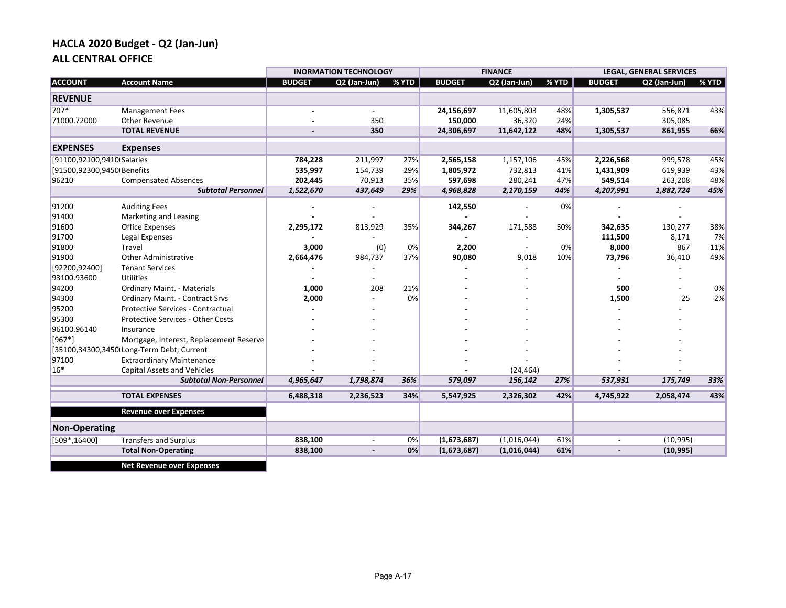## **HACLA 2020 Budget ‐ Q2 (Jan‐Jun) ALL CENTRAL OFFICE**

|                                           |                               |              |       |                              | <b>FINANCE</b> |       |               |              |                                           |
|-------------------------------------------|-------------------------------|--------------|-------|------------------------------|----------------|-------|---------------|--------------|-------------------------------------------|
| <b>Account Name</b>                       | <b>BUDGET</b>                 | Q2 (Jan-Jun) | % YTD | <b>BUDGET</b>                | Q2 (Jan-Jun)   | % YTD | <b>BUDGET</b> | Q2 (Jan-Jun) | % YTD                                     |
|                                           |                               |              |       |                              |                |       |               |              |                                           |
| <b>Management Fees</b>                    |                               | $\sim$       |       | 24,156,697                   | 11,605,803     | 48%   | 1,305,537     | 556,871      | 43%                                       |
| Other Revenue                             |                               | 350          |       | 150,000                      | 36,320         | 24%   |               | 305,085      |                                           |
| <b>TOTAL REVENUE</b>                      |                               | 350          |       | 24,306,697                   | 11,642,122     | 48%   | 1,305,537     | 861,955      | 66%                                       |
| <b>Expenses</b>                           |                               |              |       |                              |                |       |               |              |                                           |
| [91100,92100,9410 Salaries                | 784,228                       | 211,997      | 27%   | 2,565,158                    | 1,157,106      | 45%   | 2,226,568     | 999,578      | 45%                                       |
| [91500,92300,9450 Benefits                | 535,997                       | 154,739      | 29%   | 1,805,972                    | 732,813        | 41%   | 1,431,909     | 619,939      | 43%                                       |
| <b>Compensated Absences</b>               | 202,445                       | 70,913       | 35%   | 597,698                      | 280,241        | 47%   | 549,514       | 263,208      | 48%                                       |
| <b>Subtotal Personnel</b>                 | 1,522,670                     | 437,649      | 29%   | 4,968,828                    | 2,170,159      | 44%   | 4,207,991     | 1,882,724    | 45%                                       |
| <b>Auditing Fees</b>                      |                               |              |       | 142,550                      |                | 0%    |               |              |                                           |
| Marketing and Leasing                     |                               |              |       |                              |                |       |               |              |                                           |
| Office Expenses                           | 2,295,172                     | 813,929      | 35%   | 344,267                      | 171,588        | 50%   | 342,635       | 130,277      | 38%                                       |
| Legal Expenses                            |                               |              |       |                              |                |       | 111,500       | 8,171        | 7%                                        |
| Travel                                    | 3,000                         | (0)          | 0%    | 2,200                        |                | 0%    | 8,000         | 867          | 11%                                       |
| <b>Other Administrative</b>               | 2,664,476                     | 984,737      | 37%   | 90,080                       | 9,018          | 10%   | 73,796        | 36,410       | 49%                                       |
| <b>Tenant Services</b>                    |                               |              |       |                              |                |       |               |              |                                           |
| <b>Utilities</b>                          |                               |              |       |                              |                |       |               |              |                                           |
| <b>Ordinary Maint. - Materials</b>        | 1,000                         | 208          | 21%   |                              |                |       | 500           |              | 0%                                        |
| <b>Ordinary Maint. - Contract Srvs</b>    | 2,000                         |              | 0%    |                              |                |       | 1,500         | 25           | 2%                                        |
| <b>Protective Services - Contractual</b>  |                               |              |       |                              |                |       |               |              |                                           |
| Protective Services - Other Costs         |                               |              |       |                              |                |       |               |              |                                           |
| Insurance                                 |                               |              |       |                              |                |       |               |              |                                           |
| Mortgage, Interest, Replacement Reserve   |                               |              |       |                              |                |       |               |              |                                           |
| [35100,34300,3450 Long-Term Debt, Current |                               |              |       |                              |                |       |               |              |                                           |
| <b>Extraordinary Maintenance</b>          |                               |              |       |                              |                |       |               |              |                                           |
| <b>Capital Assets and Vehicles</b>        |                               |              |       |                              | (24, 464)      |       |               |              |                                           |
|                                           | 4,965,647                     | 1,798,874    | 36%   | 579,097                      | 156,142        | 27%   |               |              | 33%                                       |
| <b>TOTAL EXPENSES</b>                     | 6,488,318                     | 2,236,523    | 34%   | 5,547,925                    | 2,326,302      | 42%   | 4,745,922     | 2,058,474    | 43%                                       |
| <b>Revenue over Expenses</b>              |                               |              |       |                              |                |       |               |              |                                           |
|                                           |                               |              |       |                              |                |       |               |              |                                           |
| <b>Transfers and Surplus</b>              | 838,100                       |              | 0%    | (1,673,687)                  | (1,016,044)    | 61%   |               | (10, 995)    |                                           |
| <b>Total Non-Operating</b>                | 838,100                       |              | 0%    | (1,673,687)                  | (1,016,044)    | 61%   |               | (10, 995)    |                                           |
|                                           | <b>Subtotal Non-Personnel</b> |              |       | <b>INORMATION TECHNOLOGY</b> |                |       |               | 537,931      | <b>LEGAL, GENERAL SERVICES</b><br>175,749 |

**Net Revenue over Expenses**